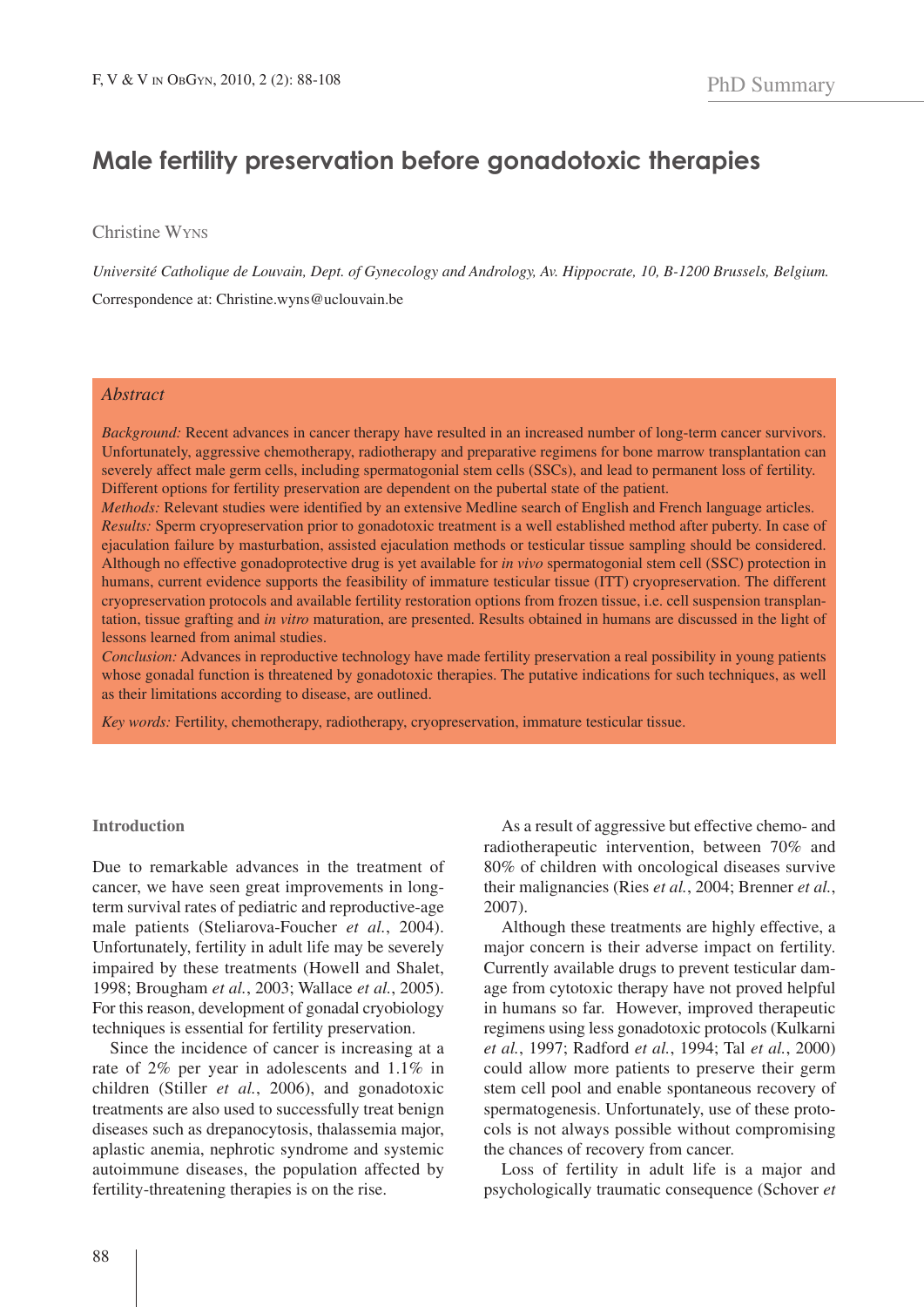# **Male fertility preservation before gonadotoxic therapies**

Christine WYNS

*Université Catholique de Louvain, Dept. of Gynecology and Andrology, Av. Hippocrate, 10, B-1200 Brussels, Belgium.* Correspondence at: Christine.wyns@uclouvain.be

## *Abstract*

*Background:* Recent advances in cancer therapy have resulted in an increased number of long-term cancer survivors. Unfortunately, aggressive chemotherapy, radiotherapy and preparative regimens for bone marrow transplantation can severely affect male germ cells, including spermatogonial stem cells (SSCs), and lead to permanent loss of fertility. Different options for fertility preservation are dependent on the pubertal state of the patient.

*Methods:* Relevant studies were identified by an extensive Medline search of English and French language articles. *Results:* Sperm cryopreservation prior to gonadotoxic treatment is a well established method after puberty. In case of ejaculation failure by masturbation, assisted ejaculation methods or testicular tissue sampling should be considered. Although no effective gonadoprotective drug is yet available for *in vivo* spermatogonial stem cell (SSC) protection in humans, current evidence supports the feasibility of immature testicular tissue (ITT) cryopreservation. The different cryopreservation protocols and available fertility restoration options from frozen tissue, i.e. cell suspension transplantation, tissue grafting and *in vitro* maturation, are presented. Results obtained in humans are discussed in the light of lessons learned from animal studies.

*Conclusion:* Advances in reproductive technology have made fertility preservation a real possibility in young patients whose gonadal function is threatened by gonadotoxic therapies. The putative indications for such techniques, as well as their limitations according to disease, are outlined.

*Key words:* Fertility, chemotherapy, radiotherapy, cryopreservation, immature testicular tissue.

#### **Introduction**

Due to remarkable advances in the treatment of cancer, we have seen great improvements in longterm survival rates of pediatric and reproductive-age male patients (Steliarova-Foucher *et al.*, 2004). Unfortunately, fertility in adult life may be severely impaired by these treatments (Howell and Shalet, 1998; Brougham *et al.*, 2003; Wallace *et al.*, 2005). For this reason, development of gonadal cryobiology techniques is essential for fertility preservation.

Since the incidence of cancer is increasing at a rate of 2% per year in adolescents and 1.1% in children (Stiller *et al.*, 2006), and gonadotoxic treatments are also used to successfully treat benign diseases such as drepanocytosis, thalassemia major, aplastic anemia, nephrotic syndrome and systemic autoimmune diseases, the population affected by fertility-threatening therapies is on the rise.

As a result of aggressive but effective chemo- and radiotherapeutic intervention, between 70% and 80% of children with oncological diseases survive their malignancies (Ries *et al.*, 2004; Brenner *et al.*, 2007).

Although these treatments are highly effective, a major concern is their adverse impact on fertility. Currently available drugs to prevent testicular damage from cytotoxic therapy have not proved helpful in humans so far. However, improved therapeutic regimens using less gonadotoxic protocols (Kulkarni *et al.*, 1997; Radford *et al.*, 1994; Tal *et al.*, 2000) could allow more patients to preserve their germ stem cell pool and enable spontaneous recovery of spermatogenesis. Unfortunately, use of these protocols is not always possible without compromising the chances of recovery from cancer.

Loss of fertility in adult life is a major and psychologically traumatic consequence (Schover *et*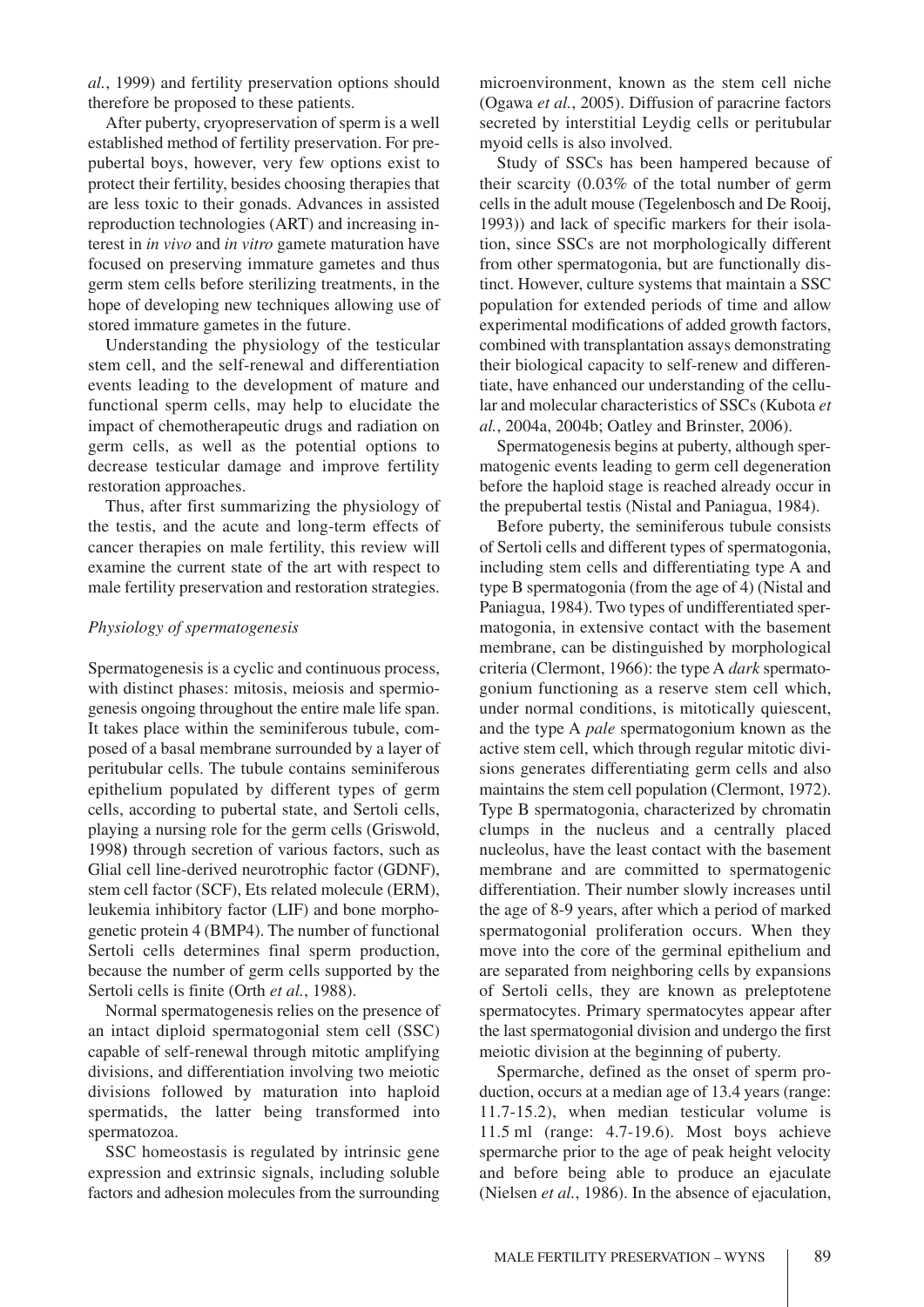*al.*, 1999) and fertility preservation options should therefore be proposed to these patients.

After puberty, cryopreservation of sperm is a well established method of fertility preservation. For prepubertal boys, however, very few options exist to protect their fertility, besides choosing therapies that are less toxic to their gonads. Advances in assisted reproduction technologies (ART) and increasing interest in *in vivo* and *in vitro* gamete maturation have focused on preserving immature gametes and thus germ stem cells before sterilizing treatments, in the hope of developing new techniques allowing use of stored immature gametes in the future.

Understanding the physiology of the testicular stem cell, and the self-renewal and differentiation events leading to the development of mature and functional sperm cells, may help to elucidate the impact of chemotherapeutic drugs and radiation on germ cells, as well as the potential options to decrease testicular damage and improve fertility restoration approaches.

Thus, after first summarizing the physiology of the testis, and the acute and long-term effects of cancer therapies on male fertility, this review will examine the current state of the art with respect to male fertility preservation and restoration strategies.

## *Physiology of spermatogenesis*

Spermatogenesis is a cyclic and continuous process, with distinct phases: mitosis, meiosis and spermiogenesis ongoing throughout the entire male life span. It takes place within the seminiferous tubule, composed of a basal membrane surrounded by a layer of peritubular cells. The tubule contains seminiferous epithelium populated by different types of germ cells, according to pubertal state, and Sertoli cells, playing a nursing role for the germ cells (Griswold, 1998**)** through secretion of various factors, such as Glial cell line-derived neurotrophic factor (GDNF), stem cell factor (SCF), Ets related molecule (ERM), leukemia inhibitory factor (LIF) and bone morphogenetic protein 4 (BMP4). The number of functional Sertoli cells determines final sperm production, because the number of germ cells supported by the Sertoli cells is finite (Orth *et al.*, 1988).

Normal spermatogenesis relies on the presence of an intact diploid spermatogonial stem cell (SSC) capable of self-renewal through mitotic amplifying divisions, and differentiation involving two meiotic divisions followed by maturation into haploid spermatids, the latter being transformed into spermatozoa.

SSC homeostasis is regulated by intrinsic gene expression and extrinsic signals, including soluble factors and adhesion molecules from the surrounding microenvironment, known as the stem cell niche (Ogawa *et al.*, 2005). Diffusion of paracrine factors secreted by interstitial Leydig cells or peritubular myoid cells is also involved.

Study of SSCs has been hampered because of their scarcity (0.03% of the total number of germ cells in the adult mouse (Tegelenbosch and De Rooij, 1993)) and lack of specific markers for their isolation, since SSCs are not morphologically different from other spermatogonia, but are functionally distinct. However, culture systems that maintain a SSC population for extended periods of time and allow experimental modifications of added growth factors, combined with transplantation assays demonstrating their biological capacity to self-renew and differentiate, have enhanced our understanding of the cellular and molecular characteristics of SSCs (Kubota *et al.*, 2004a, 2004b; Oatley and Brinster, 2006).

Spermatogenesis begins at puberty, although spermatogenic events leading to germ cell degeneration before the haploid stage is reached already occur in the prepubertal testis (Nistal and Paniagua, 1984).

Before puberty, the seminiferous tubule consists of Sertoli cells and different types of spermatogonia, including stem cells and differentiating type A and type B spermatogonia (from the age of 4) (Nistal and Paniagua, 1984). Two types of undifferentiated spermatogonia, in extensive contact with the basement membrane, can be distinguished by morphological criteria (Clermont, 1966): the type A *dark* spermatogonium functioning as a reserve stem cell which, under normal conditions, is mitotically quiescent, and the type A *pale* spermatogonium known as the active stem cell, which through regular mitotic divisions generates differentiating germ cells and also maintains the stem cell population (Clermont, 1972). Type B spermatogonia, characterized by chromatin clumps in the nucleus and a centrally placed nucleolus, have the least contact with the basement membrane and are committed to spermatogenic differentiation. Their number slowly increases until the age of 8-9 years, after which a period of marked spermatogonial proliferation occurs. When they move into the core of the germinal epithelium and are separated from neighboring cells by expansions of Sertoli cells, they are known as preleptotene spermatocytes. Primary spermatocytes appear after the last spermatogonial division and undergo the first meiotic division at the beginning of puberty.

Spermarche, defined as the onset of sperm production, occurs at a median age of 13.4 years (range: 11.7-15.2), when median testicular volume is 11.5 ml (range: 4.7-19.6). Most boys achieve spermarche prior to the age of peak height velocity and before being able to produce an ejaculate (Nielsen *et al.*, 1986). In the absence of ejaculation,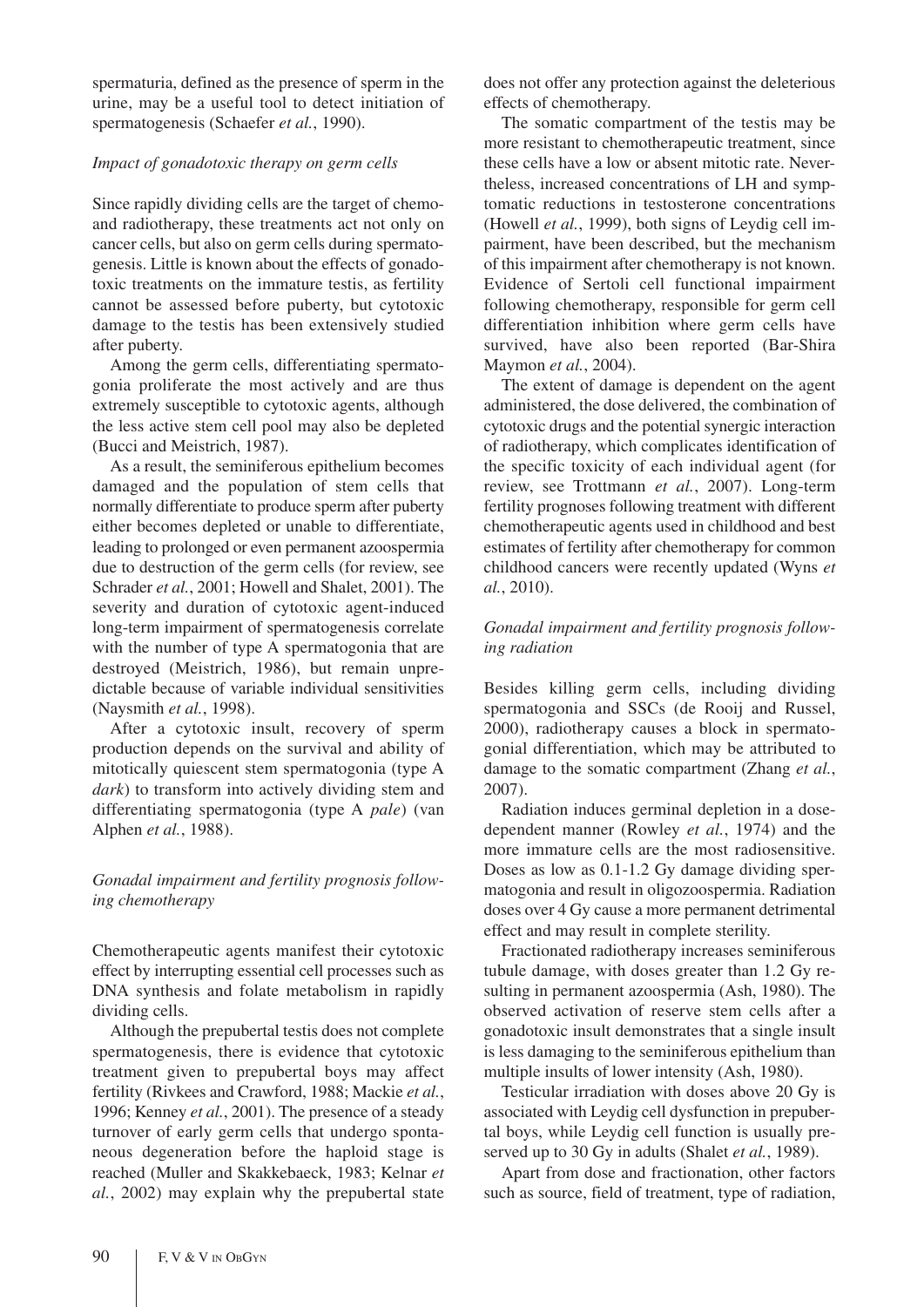spermaturia, defined as the presence of sperm in the urine, may be a useful tool to detect initiation of spermatogenesis (Schaefer *et al.*, 1990).

## *Impact of gonadotoxic therapy on germ cells*

Since rapidly dividing cells are the target of chemoand radiotherapy, these treatments act not only on cancer cells, but also on germ cells during spermatogenesis. Little is known about the effects of gonadotoxic treatments on the immature testis, as fertility cannot be assessed before puberty, but cytotoxic damage to the testis has been extensively studied after puberty.

Among the germ cells, differentiating spermatogonia proliferate the most actively and are thus extremely susceptible to cytotoxic agents, although the less active stem cell pool may also be depleted (Bucci and Meistrich, 1987).

As a result, the seminiferous epithelium becomes damaged and the population of stem cells that normally differentiate to produce sperm after puberty either becomes depleted or unable to differentiate, leading to prolonged or even permanent azoospermia due to destruction of the germ cells (for review, see Schrader *et al.*, 2001; Howell and Shalet, 2001). The severity and duration of cytotoxic agent-induced long-term impairment of spermatogenesis correlate with the number of type A spermatogonia that are destroyed (Meistrich, 1986), but remain unpredictable because of variable individual sensitivities (Naysmith *et al.*, 1998).

After a cytotoxic insult, recovery of sperm production depends on the survival and ability of mitotically quiescent stem spermatogonia (type A *dark*) to transform into actively dividing stem and differentiating spermatogonia (type A *pale*) (van Alphen *et al.*, 1988).

# *Gonadal impairment and fertility prognosis following chemotherapy*

Chemotherapeutic agents manifest their cytotoxic effect by interrupting essential cell processes such as DNA synthesis and folate metabolism in rapidly dividing cells.

Although the prepubertal testis does not complete spermatogenesis, there is evidence that cytotoxic treatment given to prepubertal boys may affect fertility (Rivkees and Crawford, 1988; Mackie *et al.*, 1996; Kenney *et al.*, 2001). The presence of a steady turnover of early germ cells that undergo spontaneous degeneration before the haploid stage is reached (Muller and Skakkebaeck, 1983; Kelnar *et al.*, 2002) may explain why the prepubertal state does not offer any protection against the deleterious effects of chemotherapy.

The somatic compartment of the testis may be more resistant to chemotherapeutic treatment, since these cells have a low or absent mitotic rate. Nevertheless, increased concentrations of LH and symptomatic reductions in testosterone concentrations (Howell *et al.*, 1999), both signs of Leydig cell impairment, have been described, but the mechanism of this impairment after chemotherapy is not known. Evidence of Sertoli cell functional impairment following chemotherapy, responsible for germ cell differentiation inhibition where germ cells have survived, have also been reported (Bar-Shira Maymon *et al.*, 2004).

The extent of damage is dependent on the agent administered, the dose delivered, the combination of cytotoxic drugs and the potential synergic interaction of radiotherapy, which complicates identification of the specific toxicity of each individual agent (for review, see Trottmann *et al.*, 2007). Long-term fertility prognoses following treatment with different chemotherapeutic agents used in childhood and best estimates of fertility after chemotherapy for common childhood cancers were recently updated (Wyns *et al.*, 2010).

# *Gonadal impairment and fertility prognosis following radiation*

Besides killing germ cells, including dividing spermatogonia and SSCs (de Rooij and Russel, 2000), radiotherapy causes a block in spermatogonial differentiation, which may be attributed to damage to the somatic compartment (Zhang *et al.*, 2007).

Radiation induces germinal depletion in a dosedependent manner (Rowley *et al.*, 1974) and the more immature cells are the most radiosensitive. Doses as low as 0.1-1.2 Gy damage dividing spermatogonia and result in oligozoospermia. Radiation doses over 4 Gy cause a more permanent detrimental effect and may result in complete sterility.

Fractionated radiotherapy increases seminiferous tubule damage, with doses greater than 1.2 Gy resulting in permanent azoospermia (Ash, 1980). The observed activation of reserve stem cells after a gonadotoxic insult demonstrates that a single insult is less damaging to the seminiferous epithelium than multiple insults of lower intensity (Ash, 1980).

Testicular irradiation with doses above 20 Gy is associated with Leydig cell dysfunction in prepubertal boys, while Leydig cell function is usually preserved up to 30 Gy in adults (Shalet *et al.*, 1989).

Apart from dose and fractionation, other factors such as source, field of treatment, type of radiation,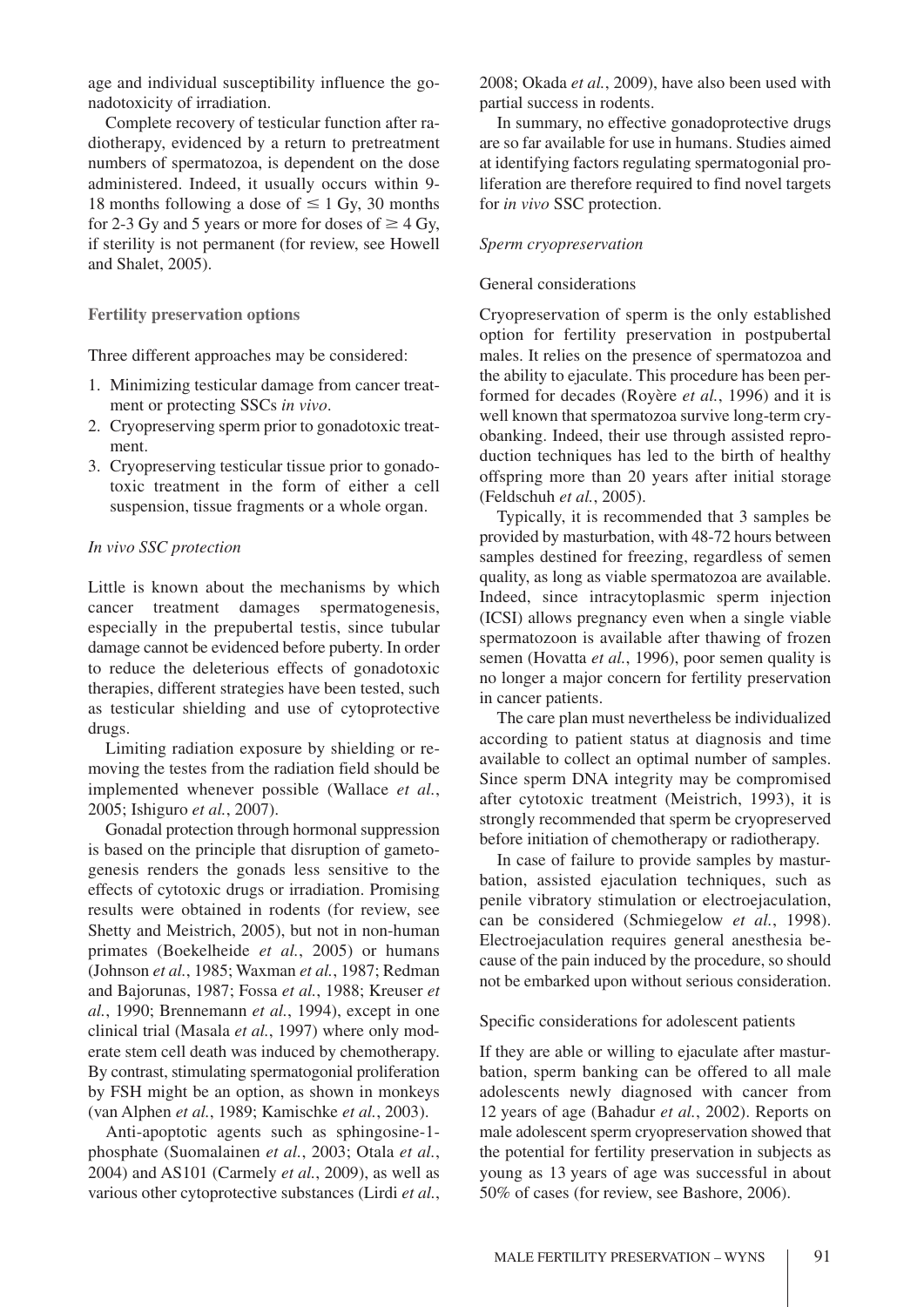age and individual susceptibility influence the gonadotoxicity of irradiation.

Complete recovery of testicular function after radiotherapy, evidenced by a return to pretreatment numbers of spermatozoa, is dependent on the dose administered. Indeed, it usually occurs within 9- 18 months following a dose of  $\leq 1$  Gy, 30 months for 2-3 Gy and 5 years or more for doses of  $\geq$  4 Gy, if sterility is not permanent (for review, see Howell and Shalet, 2005).

## **Fertility preservation options**

Three different approaches may be considered:

- 1. Minimizing testicular damage from cancer treatment or protecting SSCs *in vivo*.
- 2. Cryopreserving sperm prior to gonadotoxic treatment.
- 3. Cryopreserving testicular tissue prior to gonadotoxic treatment in the form of either a cell suspension, tissue fragments or a whole organ.

## *In vivo SSC protection*

Little is known about the mechanisms by which cancer treatment damages spermatogenesis, especially in the prepubertal testis, since tubular damage cannot be evidenced before puberty. In order to reduce the deleterious effects of gonadotoxic therapies, different strategies have been tested, such as testicular shielding and use of cytoprotective drugs.

Limiting radiation exposure by shielding or removing the testes from the radiation field should be implemented whenever possible (Wallace *et al.*, 2005; Ishiguro *et al.*, 2007).

Gonadal protection through hormonal suppression is based on the principle that disruption of gametogenesis renders the gonads less sensitive to the effects of cytotoxic drugs or irradiation. Promising results were obtained in rodents (for review, see Shetty and Meistrich, 2005), but not in non-human primates (Boekelheide *et al.*, 2005) or humans (Johnson *et al.*, 1985; Waxman *et al.*, 1987; Redman and Bajorunas, 1987; Fossa *et al.*, 1988; Kreuser *et al.*, 1990; Brennemann *et al.*, 1994), except in one clinical trial (Masala *et al.*, 1997) where only moderate stem cell death was induced by chemotherapy. By contrast, stimulating spermatogonial proliferation by FSH might be an option, as shown in monkeys (van Alphen *et al.*, 1989; Kamischke *et al.*, 2003).

Anti-apoptotic agents such as sphingosine-1 phosphate (Suomalainen *et al.*, 2003; Otala *et al.*, 2004) and AS101 (Carmely *et al.*, 2009), as well as various other cytoprotective substances (Lirdi *et al.*,

2008; Okada *et al.*, 2009), have also been used with partial success in rodents.

In summary, no effective gonadoprotective drugs are so far available for use in humans. Studies aimed at identifying factors regulating spermatogonial proliferation are therefore required to find novel targets for *in vivo* SSC protection.

#### *Sperm cryopreservation*

## General considerations

Cryopreservation of sperm is the only established option for fertility preservation in postpubertal males. It relies on the presence of spermatozoa and the ability to ejaculate. This procedure has been performed for decades (Royère *et al.*, 1996) and it is well known that spermatozoa survive long-term cryobanking. Indeed, their use through assisted reproduction techniques has led to the birth of healthy offspring more than 20 years after initial storage (Feldschuh *et al.*, 2005).

Typically, it is recommended that 3 samples be provided by masturbation, with 48-72 hours between samples destined for freezing, regardless of semen quality, as long as viable spermatozoa are available. Indeed, since intracytoplasmic sperm injection (ICSI) allows pregnancy even when a single viable spermatozoon is available after thawing of frozen semen (Hovatta *et al.*, 1996), poor semen quality is no longer a major concern for fertility preservation in cancer patients.

The care plan must nevertheless be individualized according to patient status at diagnosis and time available to collect an optimal number of samples. Since sperm DNA integrity may be compromised after cytotoxic treatment (Meistrich, 1993), it is strongly recommended that sperm be cryopreserved before initiation of chemotherapy or radiotherapy.

In case of failure to provide samples by masturbation, assisted ejaculation techniques, such as penile vibratory stimulation or electroejaculation, can be considered (Schmiegelow *et al.*, 1998). Electroejaculation requires general anesthesia because of the pain induced by the procedure, so should not be embarked upon without serious consideration.

Specific considerations for adolescent patients

If they are able or willing to ejaculate after masturbation, sperm banking can be offered to all male adolescents newly diagnosed with cancer from 12 years of age (Bahadur *et al.*, 2002). Reports on male adolescent sperm cryopreservation showed that the potential for fertility preservation in subjects as young as 13 years of age was successful in about 50% of cases (for review, see Bashore, 2006).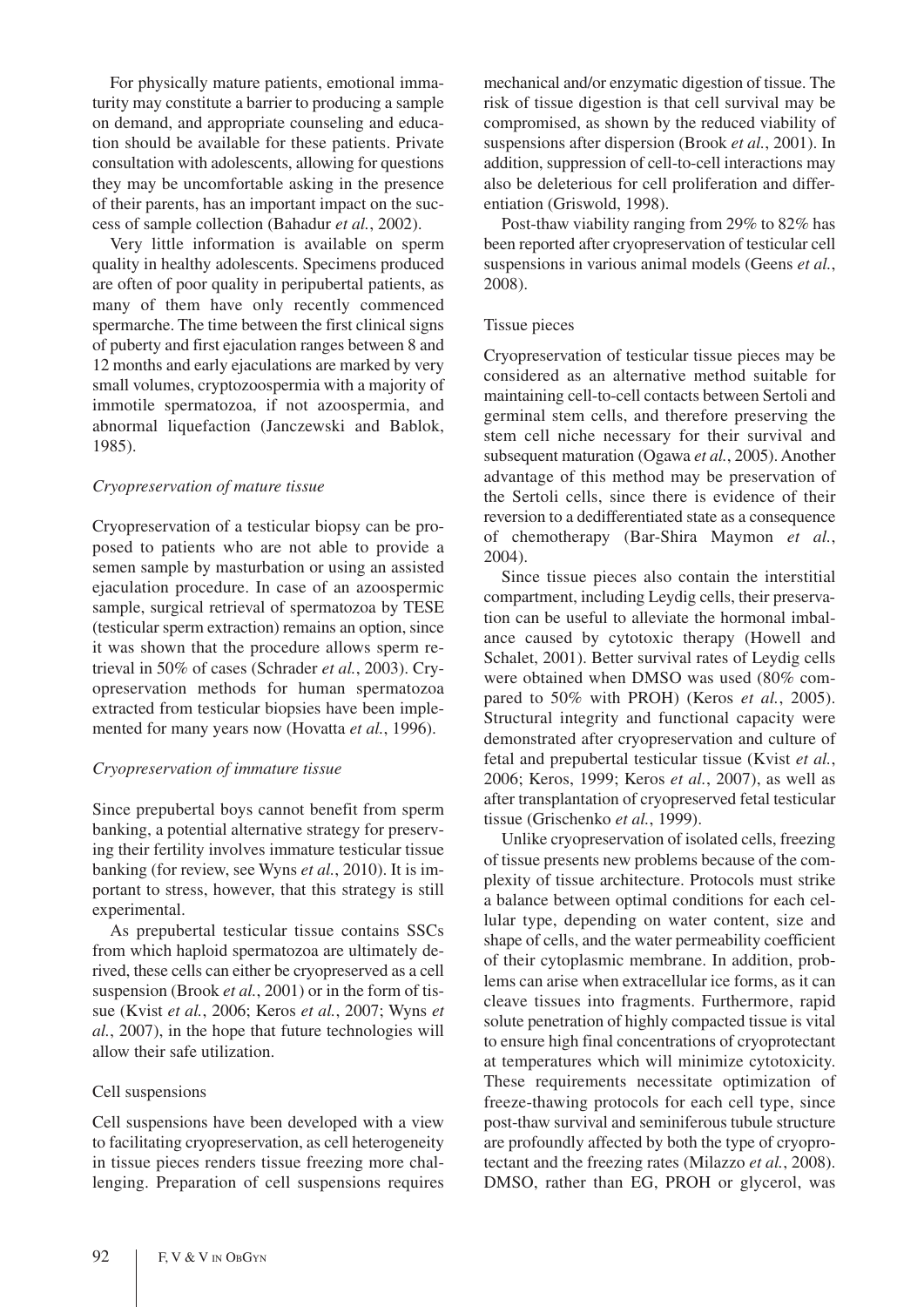For physically mature patients, emotional immaturity may constitute a barrier to producing a sample on demand, and appropriate counseling and education should be available for these patients. Private consultation with adolescents, allowing for questions they may be uncomfortable asking in the presence of their parents, has an important impact on the success of sample collection (Bahadur *et al.*, 2002).

Very little information is available on sperm quality in healthy adolescents. Specimens produced are often of poor quality in peripubertal patients, as many of them have only recently commenced spermarche. The time between the first clinical signs of puberty and first ejaculation ranges between 8 and 12 months and early ejaculations are marked by very small volumes, cryptozoospermia with a majority of immotile spermatozoa, if not azoospermia, and abnormal liquefaction (Janczewski and Bablok, 1985).

#### *Cryopreservation of mature tissue*

Cryopreservation of a testicular biopsy can be proposed to patients who are not able to provide a semen sample by masturbation or using an assisted ejaculation procedure. In case of an azoospermic sample, surgical retrieval of spermatozoa by TESE (testicular sperm extraction) remains an option, since it was shown that the procedure allows sperm retrieval in 50% of cases (Schrader *et al.*, 2003). Cryopreservation methods for human spermatozoa extracted from testicular biopsies have been implemented for many years now (Hovatta *et al.*, 1996).

#### *Cryopreservation of immature tissue*

Since prepubertal boys cannot benefit from sperm banking, a potential alternative strategy for preserving their fertility involves immature testicular tissue banking (for review, see Wyns *et al.*, 2010). It is important to stress, however, that this strategy is still experimental.

As prepubertal testicular tissue contains SSCs from which haploid spermatozoa are ultimately derived, these cells can either be cryopreserved as a cell suspension (Brook *et al.*, 2001) or in the form of tissue (Kvist *et al.*, 2006; Keros *et al.*, 2007; Wyns *et al.*, 2007), in the hope that future technologies will allow their safe utilization.

#### Cell suspensions

Cell suspensions have been developed with a view to facilitating cryopreservation, as cell heterogeneity in tissue pieces renders tissue freezing more challenging. Preparation of cell suspensions requires mechanical and/or enzymatic digestion of tissue. The risk of tissue digestion is that cell survival may be compromised, as shown by the reduced viability of suspensions after dispersion (Brook *et al.*, 2001). In addition, suppression of cell-to-cell interactions may also be deleterious for cell proliferation and differentiation (Griswold, 1998).

Post-thaw viability ranging from 29% to 82% has been reported after cryopreservation of testicular cell suspensions in various animal models (Geens *et al.*, 2008).

#### Tissue pieces

Cryopreservation of testicular tissue pieces may be considered as an alternative method suitable for maintaining cell-to-cell contacts between Sertoli and germinal stem cells, and therefore preserving the stem cell niche necessary for their survival and subsequent maturation (Ogawa *et al.*, 2005). Another advantage of this method may be preservation of the Sertoli cells, since there is evidence of their reversion to a dedifferentiated state as a consequence of chemotherapy (Bar-Shira Maymon *et al.*, 2004).

Since tissue pieces also contain the interstitial compartment, including Leydig cells, their preservation can be useful to alleviate the hormonal imbalance caused by cytotoxic therapy (Howell and Schalet, 2001). Better survival rates of Leydig cells were obtained when DMSO was used (80% compared to 50% with PROH) (Keros *et al.*, 2005). Structural integrity and functional capacity were demonstrated after cryopreservation and culture of fetal and prepubertal testicular tissue (Kvist *et al.*, 2006; Keros, 1999; Keros *et al.*, 2007), as well as after transplantation of cryopreserved fetal testicular tissue (Grischenko *et al.*, 1999).

Unlike cryopreservation of isolated cells, freezing of tissue presents new problems because of the complexity of tissue architecture. Protocols must strike a balance between optimal conditions for each cellular type, depending on water content, size and shape of cells, and the water permeability coefficient of their cytoplasmic membrane. In addition, problems can arise when extracellular ice forms, as it can cleave tissues into fragments. Furthermore, rapid solute penetration of highly compacted tissue is vital to ensure high final concentrations of cryoprotectant at temperatures which will minimize cytotoxicity. These requirements necessitate optimization of freeze-thawing protocols for each cell type, since post-thaw survival and seminiferous tubule structure are profoundly affected by both the type of cryoprotectant and the freezing rates (Milazzo *et al.*, 2008). DMSO, rather than EG, PROH or glycerol, was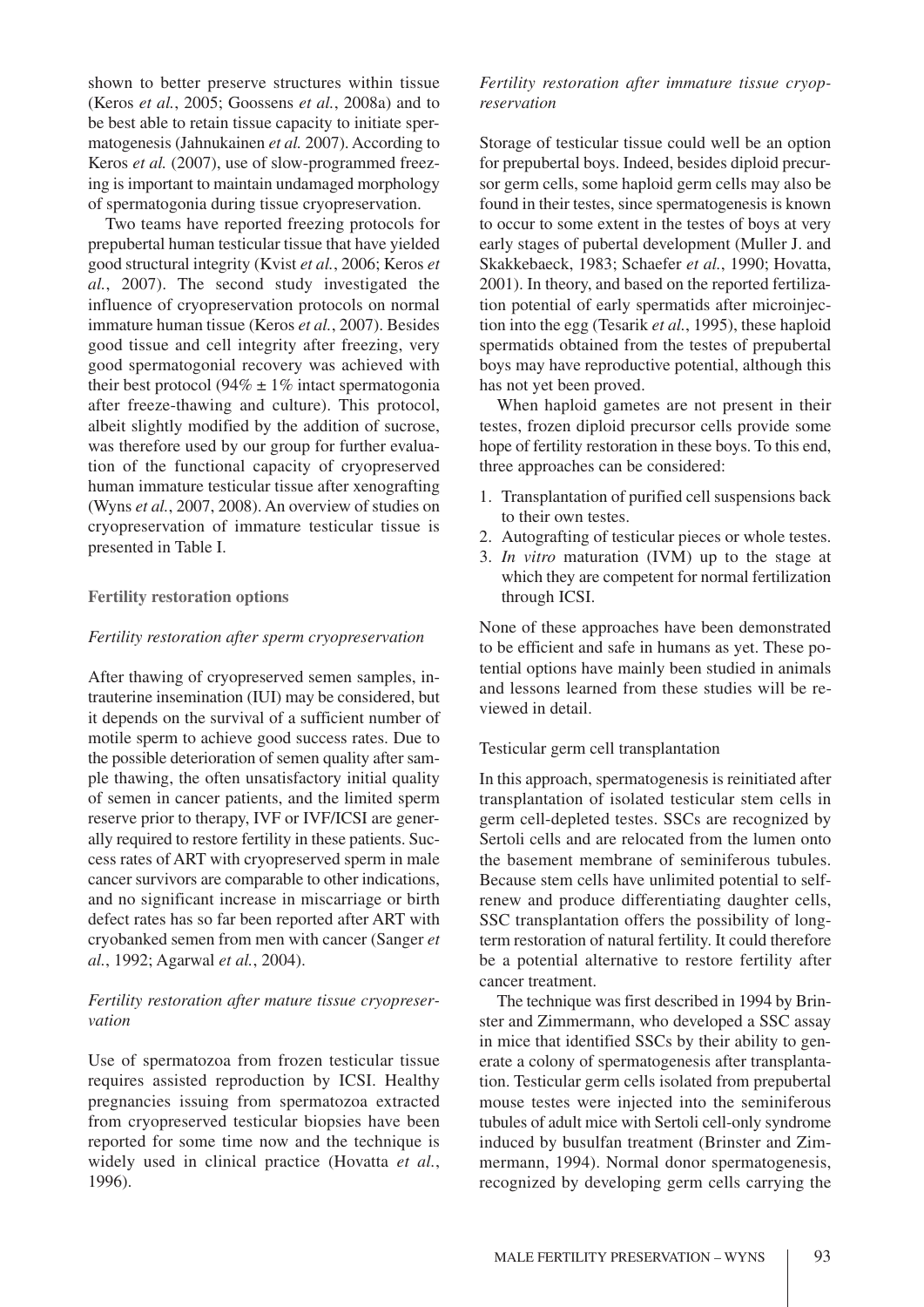shown to better preserve structures within tissue (Keros *et al.*, 2005; Goossens *et al.*, 2008a) and to be best able to retain tissue capacity to initiate spermatogenesis (Jahnukainen *et al.* 2007). According to Keros *et al.* (2007), use of slow-programmed freezing is important to maintain undamaged morphology of spermatogonia during tissue cryopreservation.

Two teams have reported freezing protocols for prepubertal human testicular tissue that have yielded good structural integrity (Kvist *et al.*, 2006; Keros *et al.*, 2007). The second study investigated the influence of cryopreservation protocols on normal immature human tissue (Keros *et al.*, 2007). Besides good tissue and cell integrity after freezing, very good spermatogonial recovery was achieved with their best protocol (94%  $\pm$  1% intact spermatogonia after freeze-thawing and culture). This protocol, albeit slightly modified by the addition of sucrose, was therefore used by our group for further evaluation of the functional capacity of cryopreserved human immature testicular tissue after xenografting (Wyns *et al.*, 2007, 2008). An overview of studies on cryopreservation of immature testicular tissue is presented in Table I.

## **Fertility restoration options**

## *Fertility restoration after sperm cryopreservation*

After thawing of cryopreserved semen samples, intrauterine insemination (IUI) may be considered, but it depends on the survival of a sufficient number of motile sperm to achieve good success rates. Due to the possible deterioration of semen quality after sample thawing, the often unsatisfactory initial quality of semen in cancer patients, and the limited sperm reserve prior to therapy, IVF or IVF/ICSI are generally required to restore fertility in these patients. Success rates of ART with cryopreserved sperm in male cancer survivors are comparable to other indications, and no significant increase in miscarriage or birth defect rates has so far been reported after ART with cryobanked semen from men with cancer (Sanger *et al.*, 1992; Agarwal *et al.*, 2004).

# *Fertility restoration after mature tissue cryopreservation*

Use of spermatozoa from frozen testicular tissue requires assisted reproduction by ICSI. Healthy pregnancies issuing from spermatozoa extracted from cryopreserved testicular biopsies have been reported for some time now and the technique is widely used in clinical practice (Hovatta *et al.*, 1996).

## *Fertility restoration after immature tissue cryopreservation*

Storage of testicular tissue could well be an option for prepubertal boys. Indeed, besides diploid precursor germ cells, some haploid germ cells may also be found in their testes, since spermatogenesis is known to occur to some extent in the testes of boys at very early stages of pubertal development (Muller J. and Skakkebaeck, 1983; Schaefer *et al.*, 1990; Hovatta, 2001). In theory, and based on the reported fertilization potential of early spermatids after microinjection into the egg (Tesarik *et al.*, 1995), these haploid spermatids obtained from the testes of prepubertal boys may have reproductive potential, although this has not yet been proved.

When haploid gametes are not present in their testes, frozen diploid precursor cells provide some hope of fertility restoration in these boys. To this end, three approaches can be considered:

- 1. Transplantation of purified cell suspensions back to their own testes.
- 2. Autografting of testicular pieces or whole testes.
- 3. *In vitro* maturation (IVM) up to the stage at which they are competent for normal fertilization through ICSI.

None of these approaches have been demonstrated to be efficient and safe in humans as yet. These potential options have mainly been studied in animals and lessons learned from these studies will be reviewed in detail.

## Testicular germ cell transplantation

In this approach, spermatogenesis is reinitiated after transplantation of isolated testicular stem cells in germ cell-depleted testes. SSCs are recognized by Sertoli cells and are relocated from the lumen onto the basement membrane of seminiferous tubules. Because stem cells have unlimited potential to selfrenew and produce differentiating daughter cells, SSC transplantation offers the possibility of longterm restoration of natural fertility. It could therefore be a potential alternative to restore fertility after cancer treatment.

The technique was first described in 1994 by Brinster and Zimmermann, who developed a SSC assay in mice that identified SSCs by their ability to generate a colony of spermatogenesis after transplantation. Testicular germ cells isolated from prepubertal mouse testes were injected into the seminiferous tubules of adult mice with Sertoli cell-only syndrome induced by busulfan treatment (Brinster and Zimmermann, 1994). Normal donor spermatogenesis, recognized by developing germ cells carrying the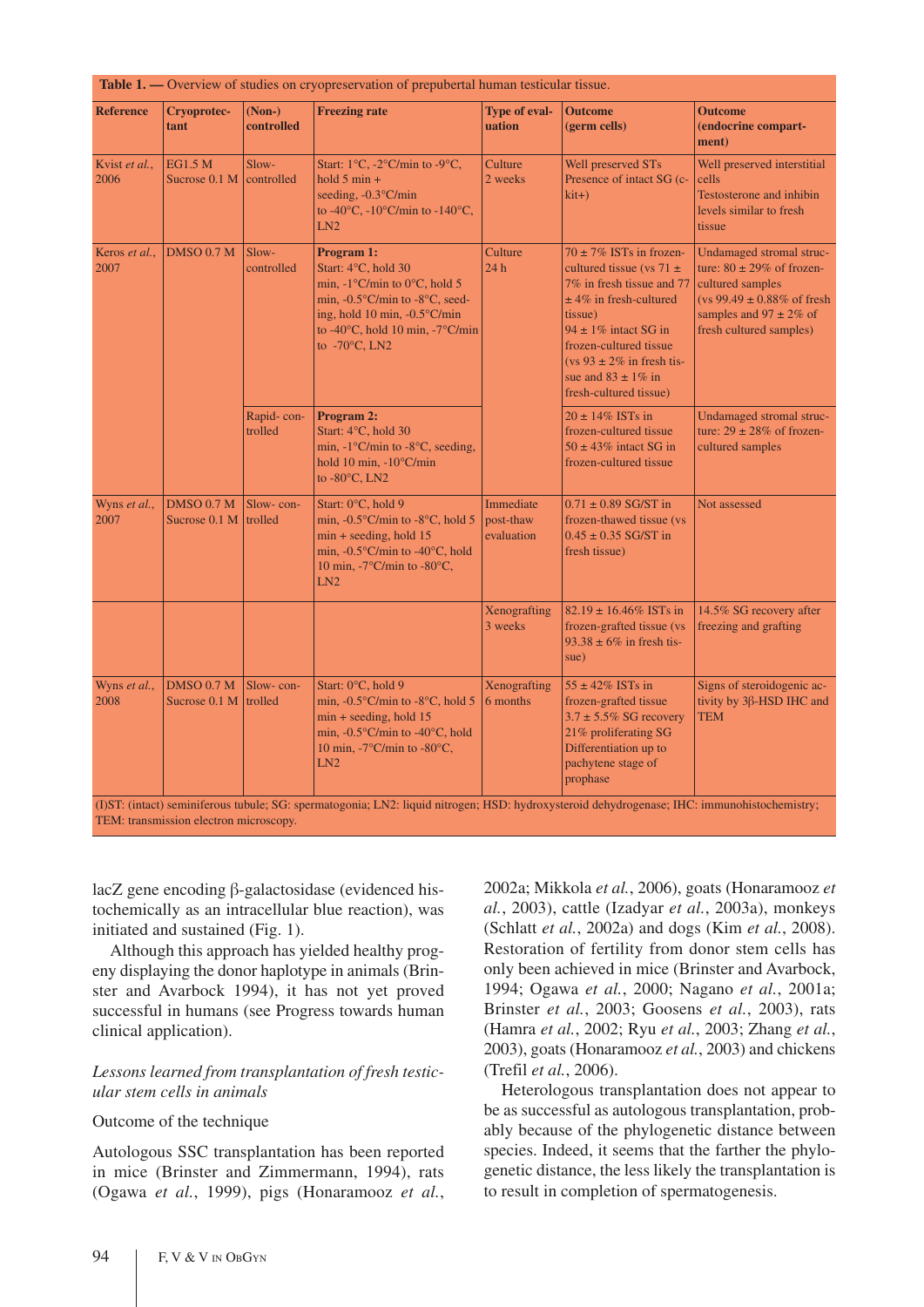| <b>Reference</b>      | Cryoprotec-<br>tant                | $(Non-)$<br>controlled | <b>Freezing rate</b>                                                                                                                                                                                                                                          | <b>Type of eval-</b><br>uation       | <b>Outcome</b><br>(germ cells)                                                                                                                                                                                                                                                         | <b>Outcome</b><br>(endocrine compart-<br>ment)                                                                                                                                       |
|-----------------------|------------------------------------|------------------------|---------------------------------------------------------------------------------------------------------------------------------------------------------------------------------------------------------------------------------------------------------------|--------------------------------------|----------------------------------------------------------------------------------------------------------------------------------------------------------------------------------------------------------------------------------------------------------------------------------------|--------------------------------------------------------------------------------------------------------------------------------------------------------------------------------------|
| Kvist et al.,<br>2006 | <b>EG1.5 M</b><br>Sucrose 0.1 M    | Slow-<br>controlled    | Start: $1^{\circ}$ C, $-2^{\circ}$ C/min to $-9^{\circ}$ C,<br>hold $5 \text{ min} +$<br>seeding, $-0.3$ °C/min<br>to -40 $\rm{^{\circ}C}$ , -10 $\rm{^{\circ}C/min}$ to -140 $\rm{^{\circ}C}$ ,<br>LN2                                                       | Culture<br>2 weeks                   | Well preserved STs<br>Presence of intact SG (c-<br>$kit+$ )                                                                                                                                                                                                                            | Well preserved interstitial<br>cells<br><b>Testosterone and inhibin</b><br>levels similar to fresh<br>tissue                                                                         |
| Keros et al.,<br>2007 | <b>DMSO 0.7 M</b>                  | Slow-<br>controlled    | Program 1:<br>Start: 4°C, hold 30<br>min, $-1^{\circ}$ C/min to 0°C, hold 5<br>min, $-0.5^{\circ}$ C/min to $-8^{\circ}$ C, seed-<br>ing, hold 10 min, $-0.5^{\circ}$ C/min<br>to -40 $\degree$ C, hold 10 min, -7 $\degree$ C/min<br>to $-70^{\circ}$ C, LN2 | Culture<br>24h                       | $70 \pm 7\%$ ISTs in frozen-<br>cultured tissue (vs 71 $\pm$<br>7% in fresh tissue and 77<br>$±$ 4% in fresh-cultured<br>tissue)<br>$94 \pm 1\%$ intact SG in<br>frozen-cultured tissue<br>$(vs 93 \pm 2\% \text{ in fresh tis-}$<br>sue and $83 \pm 1\%$ in<br>fresh-cultured tissue) | Undamaged stromal struc-<br>ture: $80 \pm 29\%$ of frozen-<br>cultured samples<br>$(vs 99.49 \pm 0.88\% \text{ of fresh})$<br>samples and $97 \pm 2\%$ of<br>fresh cultured samples) |
|                       |                                    | Rapid-con-<br>trolled  | Program 2:<br>Start: 4°C, hold 30<br>min, $-1^{\circ}$ C/min to $-8^{\circ}$ C, seeding,<br>hold 10 min, $-10^{\circ}$ C/min<br>to $-80^{\circ}$ C, LN2                                                                                                       |                                      | $20 \pm 14\%$ ISTs in<br>frozen-cultured tissue<br>$50 \pm 43\%$ intact SG in<br>frozen-cultured tissue                                                                                                                                                                                | Undamaged stromal struc-<br>ture: $29 \pm 28\%$ of frozen-<br>cultured samples                                                                                                       |
| Wyns et al.,<br>2007  | DMSO 0.7 M<br>Sucrose 0.1 M        | Slow-con-<br>trolled   | Start: 0°C, hold 9<br>min, $-0.5^{\circ}$ C/min to $-8^{\circ}$ C, hold 5<br>$min +$ seeding, hold 15<br>min, $-0.5^{\circ}$ C/min to $-40^{\circ}$ C, hold<br>10 min, $-7^{\circ}$ C/min to $-80^{\circ}$ C,<br>LN2                                          | Immediate<br>post-thaw<br>evaluation | $0.71 \pm 0.89$ SG/ST in<br>frozen-thawed tissue (vs)<br>$0.45 \pm 0.35$ SG/ST in<br>fresh tissue)                                                                                                                                                                                     | Not assessed                                                                                                                                                                         |
|                       |                                    |                        |                                                                                                                                                                                                                                                               | Xenografting<br>3 weeks              | $82.19 \pm 16.46\%$ ISTs in<br>frozen-grafted tissue (vs<br>$93.38 \pm 6\%$ in fresh tis-<br>sue)                                                                                                                                                                                      | 14.5% SG recovery after<br>freezing and grafting                                                                                                                                     |
| Wyns et al.,<br>2008  | <b>DMSO 0.7 M</b><br>Sucrose 0.1 M | Slow-con-<br>trolled   | Start: 0°C, hold 9<br>min, $-0.5^{\circ}$ C/min to $-8^{\circ}$ C, hold 5<br>$min + seeding$ , hold 15<br>min, $-0.5^{\circ}$ C/min to $-40^{\circ}$ C, hold<br>10 min, -7°C/min to -80°C,<br>LN2                                                             | Xenografting<br>6 months             | $55 \pm 42\%$ ISTs in<br>frozen-grafted tissue<br>$3.7 \pm 5.5\%$ SG recovery<br>21% proliferating SG<br>Differentiation up to<br>pachytene stage of<br>prophase                                                                                                                       | Signs of steroidogenic ac-<br>tivity by $3\beta$ -HSD IHC and<br><b>TEM</b>                                                                                                          |

(I)ST: (intact) seminiferous tubule; SG: spermatogonia; LN2: liquid nitrogen; HSD: hydroxysteroid dehydrogenase; IHC: immunohistochemistry; TEM: transmission electron microscopy.

lacZ gene encoding  $\beta$ -galactosidase (evidenced histochemically as an intracellular blue reaction), was initiated and sustained (Fig. 1).

Although this approach has yielded healthy progeny displaying the donor haplotype in animals (Brinster and Avarbock 1994), it has not yet proved successful in humans (see Progress towards human clinical application).

# *Lessons learned from transplantation of fresh testicular stem cells in animals*

## Outcome of the technique

Autologous SSC transplantation has been reported in mice (Brinster and Zimmermann, 1994), rats (Ogawa *et al.*, 1999), pigs (Honaramooz *et al.*,

2002a; Mikkola *et al.*, 2006), goats (Honaramooz *et al.*, 2003), cattle (Izadyar *et al.*, 2003a), monkeys (Schlatt *et al.*, 2002a) and dogs (Kim *et al.*, 2008). Restoration of fertility from donor stem cells has only been achieved in mice (Brinster and Avarbock, 1994; Ogawa *et al.*, 2000; Nagano *et al.*, 2001a; Brinster *et al.*, 2003; Goosens *et al.*, 2003), rats (Hamra *et al.*, 2002; Ryu *et al.*, 2003; Zhang *et al.*, 2003), goats (Honaramooz *et al.*, 2003) and chickens (Trefil *et al.*, 2006).

Heterologous transplantation does not appear to be as successful as autologous transplantation, probably because of the phylogenetic distance between species. Indeed, it seems that the farther the phylogenetic distance, the less likely the transplantation is to result in completion of spermatogenesis.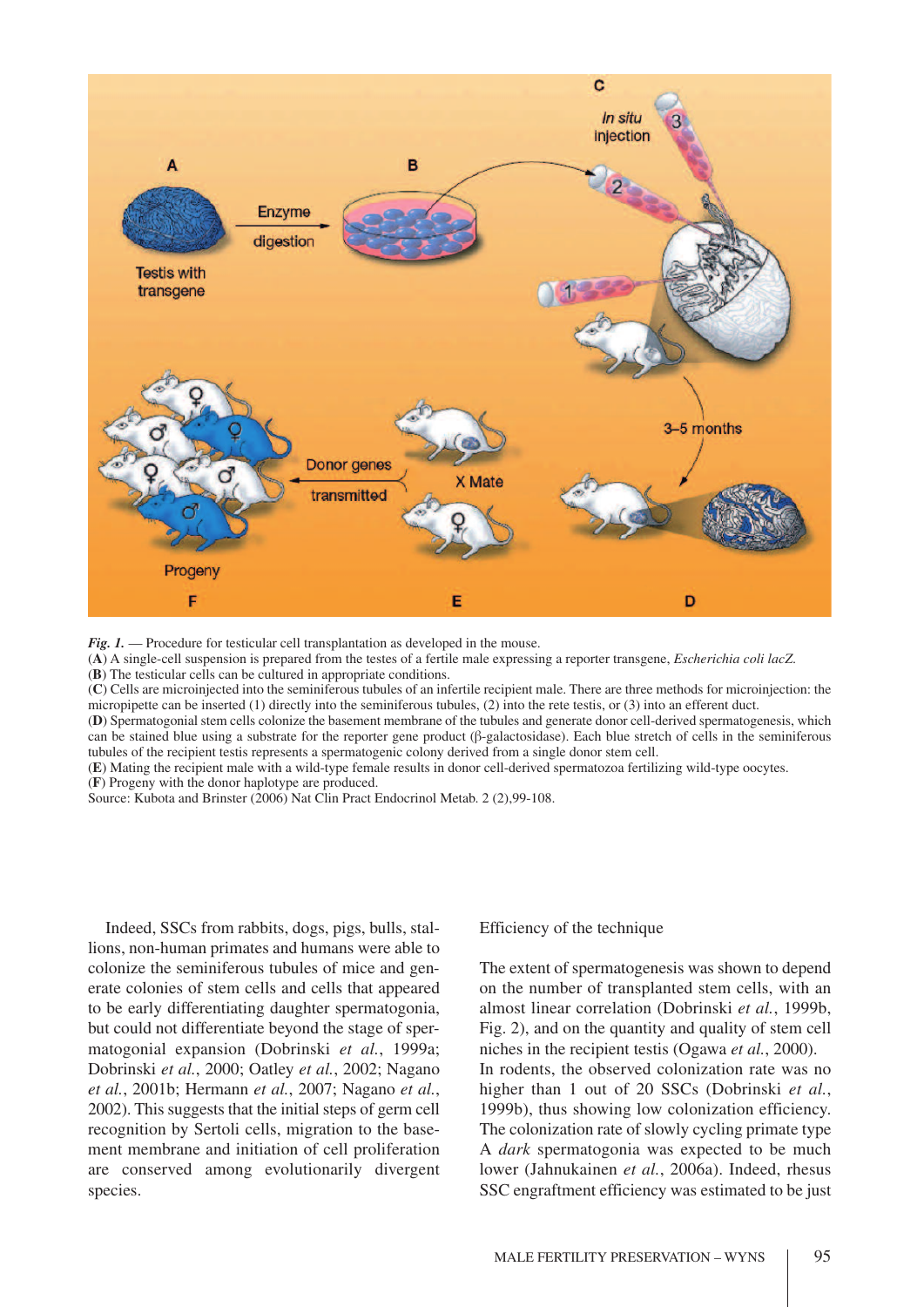

*Fig. 1.* — Procedure for testicular cell transplantation as developed in the mouse.

(**A**) A single-cell suspension is prepared from the testes of a fertile male expressing a reporter transgene, *Escherichia coli lacZ*.

(**B**) The testicular cells can be cultured in appropriate conditions.

(**C**) Cells are microinjected into the seminiferous tubules of an infertile recipient male. There are three methods for microinjection: the micropipette can be inserted (1) directly into the seminiferous tubules, (2) into the rete testis, or (3) into an efferent duct.

(**D**) Spermatogonial stem cells colonize the basement membrane of the tubules and generate donor cell-derived spermatogenesis, which can be stained blue using a substrate for the reporter gene product ( $\beta$ -galactosidase). Each blue stretch of cells in the seminiferous tubules of the recipient testis represents a spermatogenic colony derived from a single donor stem cell.

(**E**) Mating the recipient male with a wild-type female results in donor cell-derived spermatozoa fertilizing wild-type oocytes. (**F**) Progeny with the donor haplotype are produced.

Source: Kubota and Brinster (2006) Nat Clin Pract Endocrinol Metab. 2 (2),99-108.

Indeed, SSCs from rabbits, dogs, pigs, bulls, stallions, non-human primates and humans were able to colonize the seminiferous tubules of mice and generate colonies of stem cells and cells that appeared to be early differentiating daughter spermatogonia, but could not differentiate beyond the stage of spermatogonial expansion (Dobrinski *et al.*, 1999a; Dobrinski *et al.*, 2000; Oatley *et al.*, 2002; Nagano *et al.*, 2001b; Hermann *et al.*, 2007; Nagano *et al.*, 2002). This suggests that the initial steps of germ cell recognition by Sertoli cells, migration to the basement membrane and initiation of cell proliferation are conserved among evolutionarily divergent species.

Efficiency of the technique

The extent of spermatogenesis was shown to depend on the number of transplanted stem cells, with an almost linear correlation (Dobrinski *et al.*, 1999b, Fig. 2), and on the quantity and quality of stem cell niches in the recipient testis (Ogawa *et al.*, 2000). In rodents, the observed colonization rate was no higher than 1 out of 20 SSCs (Dobrinski *et al.*, 1999b), thus showing low colonization efficiency. The colonization rate of slowly cycling primate type A *dark* spermatogonia was expected to be much lower (Jahnukainen *et al.*, 2006a). Indeed, rhesus SSC engraftment efficiency was estimated to be just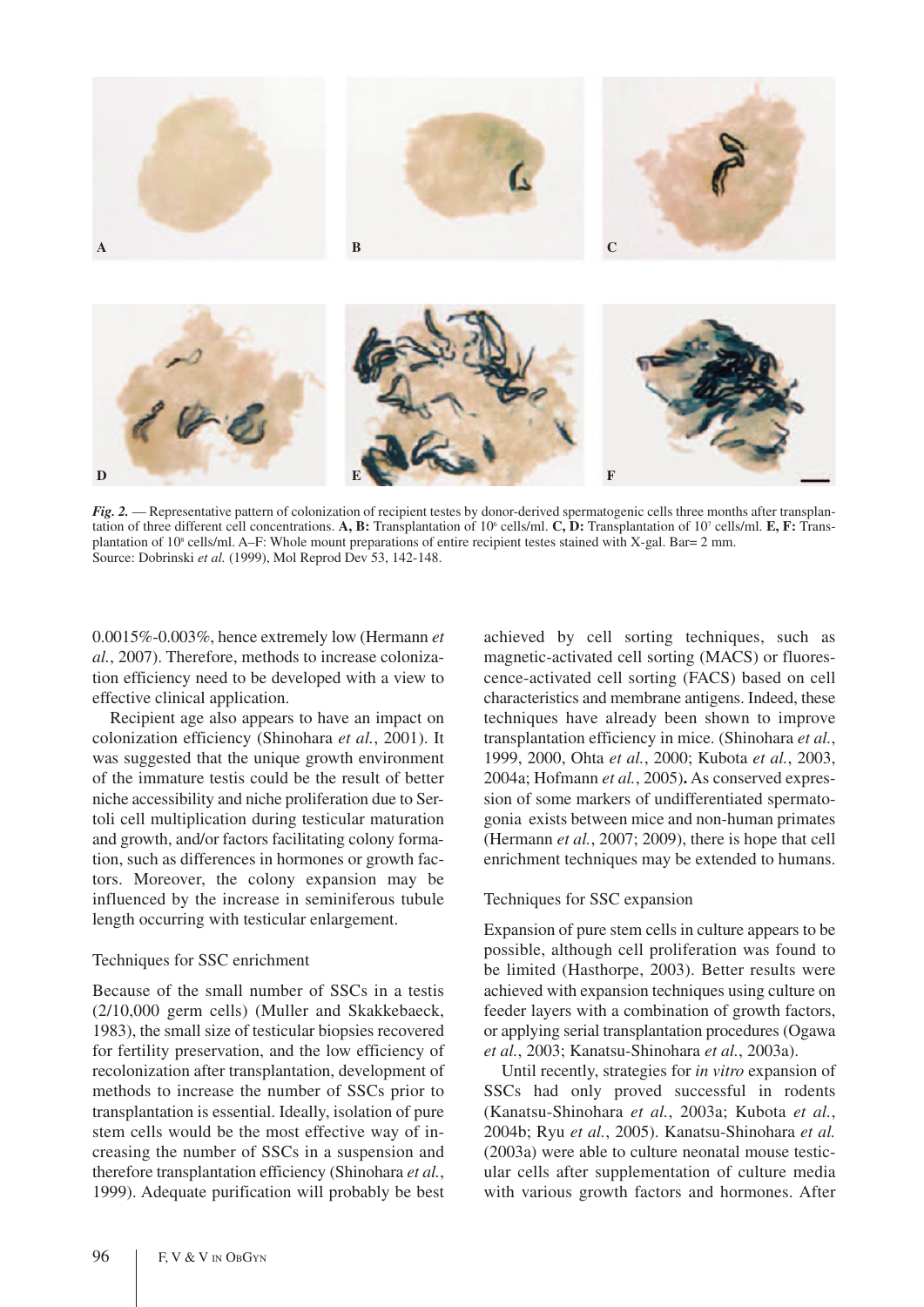

*Fig. 2.* — Representative pattern of colonization of recipient testes by donor-derived spermatogenic cells three months after transplantation of three different cell concentrations. **A, B:** Transplantation of  $10^6$  cells/ml. **C, D:** Transplantation of  $10^7$  cells/ml. **E, F:** Transplantation of 10<sup>8</sup> cells/ml. A–F: Whole mount preparations of entire recipient testes stained with X-gal. Bar= 2 mm. Source: Dobrinski *et al.* (1999), Mol Reprod Dev 53, 142-148.

0.0015%-0.003%, hence extremely low (Hermann *et al.*, 2007). Therefore, methods to increase colonization efficiency need to be developed with a view to effective clinical application.

Recipient age also appears to have an impact on colonization efficiency (Shinohara *et al.*, 2001). It was suggested that the unique growth environment of the immature testis could be the result of better niche accessibility and niche proliferation due to Sertoli cell multiplication during testicular maturation and growth, and/or factors facilitating colony formation, such as differences in hormones or growth factors. Moreover, the colony expansion may be influenced by the increase in seminiferous tubule length occurring with testicular enlargement.

#### Techniques for SSC enrichment

Because of the small number of SSCs in a testis (2/10,000 germ cells) (Muller and Skakkebaeck, 1983), the small size of testicular biopsies recovered for fertility preservation, and the low efficiency of recolonization after transplantation, development of methods to increase the number of SSCs prior to transplantation is essential. Ideally, isolation of pure stem cells would be the most effective way of increasing the number of SSCs in a suspension and therefore transplantation efficiency (Shinohara *et al.*, 1999). Adequate purification will probably be best achieved by cell sorting techniques, such as magnetic-activated cell sorting (MACS) or fluorescence-activated cell sorting (FACS) based on cell characteristics and membrane antigens. Indeed, these techniques have already been shown to improve transplantation efficiency in mice. (Shinohara *et al.*, 1999, 2000, Ohta *et al.*, 2000; Kubota *et al.*, 2003, 2004a; Hofmann *et al.*, 2005)**.** As conserved expression of some markers of undifferentiated spermatogonia exists between mice and non-human primates (Hermann *et al.*, 2007; 2009), there is hope that cell enrichment techniques may be extended to humans.

## Techniques for SSC expansion

Expansion of pure stem cells in culture appears to be possible, although cell proliferation was found to be limited (Hasthorpe, 2003). Better results were achieved with expansion techniques using culture on feeder layers with a combination of growth factors, or applying serial transplantation procedures (Ogawa *et al.*, 2003; Kanatsu-Shinohara *et al.*, 2003a).

Until recently, strategies for *in vitro* expansion of SSCs had only proved successful in rodents (Kanatsu-Shinohara *et al.*, 2003a; Kubota *et al.*, 2004b; Ryu *et al.*, 2005). Kanatsu-Shinohara *et al.* (2003a) were able to culture neonatal mouse testicular cells after supplementation of culture media with various growth factors and hormones. After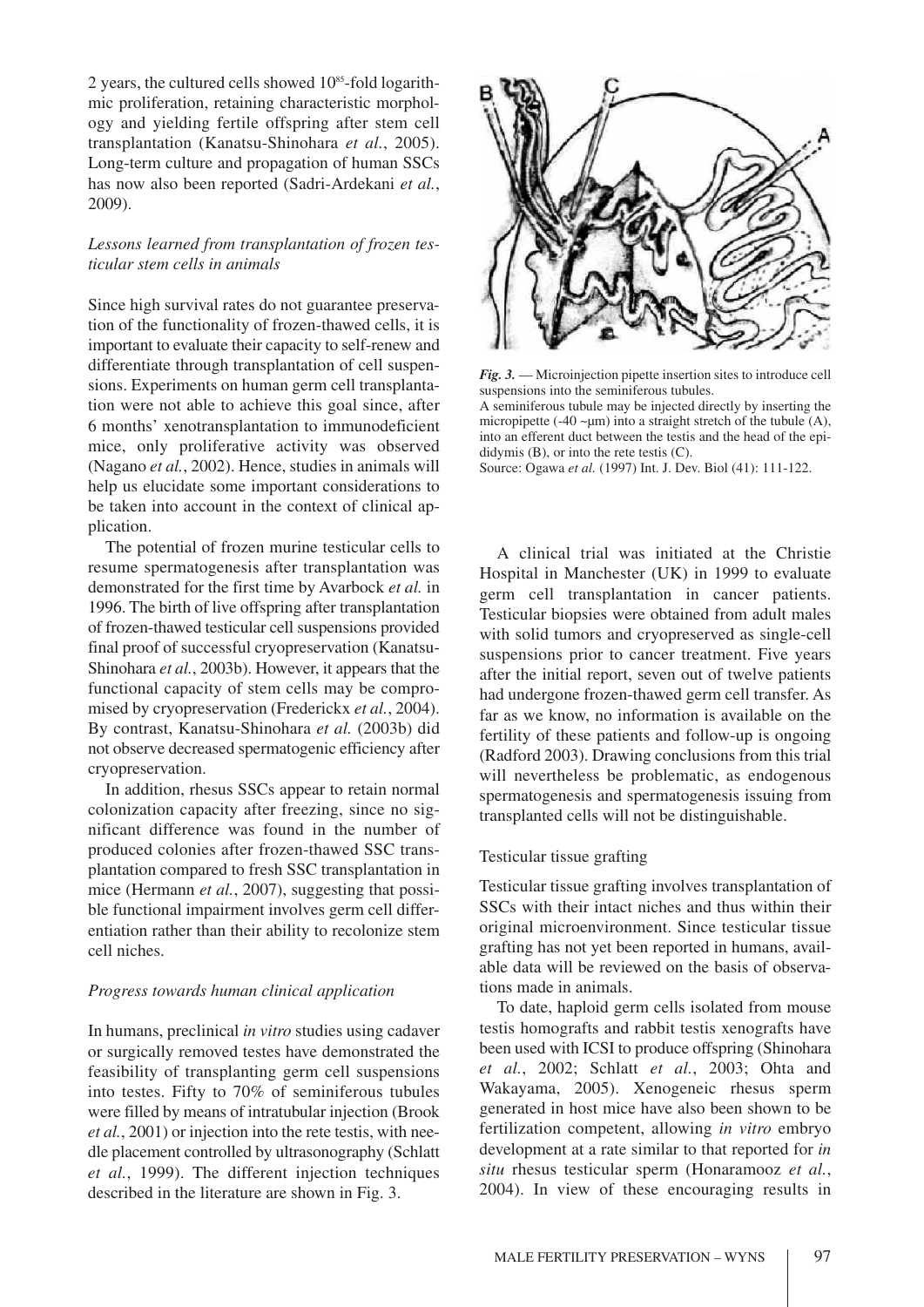2 years, the cultured cells showed  $10^{85}$ -fold logarithmic proliferation, retaining characteristic morphology and yielding fertile offspring after stem cell transplantation (Kanatsu-Shinohara *et al.*, 2005). Long-term culture and propagation of human SSCs has now also been reported (Sadri-Ardekani *et al.*, 2009).

# *Lessons learned from transplantation of frozen testicular stem cells in animals*

Since high survival rates do not guarantee preservation of the functionality of frozen-thawed cells, it is important to evaluate their capacity to self-renew and differentiate through transplantation of cell suspensions. Experiments on human germ cell transplantation were not able to achieve this goal since, after 6 months' xenotransplantation to immunodeficient mice, only proliferative activity was observed (Nagano *et al.*, 2002). Hence, studies in animals will help us elucidate some important considerations to be taken into account in the context of clinical application.

The potential of frozen murine testicular cells to resume spermatogenesis after transplantation was demonstrated for the first time by Avarbock *et al.* in 1996. The birth of live offspring after transplantation of frozen-thawed testicular cell suspensions provided final proof of successful cryopreservation (Kanatsu-Shinohara *et al.*, 2003b). However, it appears that the functional capacity of stem cells may be compromised by cryopreservation (Frederickx *et al.*, 2004). By contrast, Kanatsu-Shinohara *et al.* (2003b) did not observe decreased spermatogenic efficiency after cryopreservation.

In addition, rhesus SSCs appear to retain normal colonization capacity after freezing, since no significant difference was found in the number of produced colonies after frozen-thawed SSC transplantation compared to fresh SSC transplantation in mice (Hermann *et al.*, 2007), suggesting that possible functional impairment involves germ cell differentiation rather than their ability to recolonize stem cell niches.

## *Progress towards human clinical application*

In humans, preclinical *in vitro* studies using cadaver or surgically removed testes have demonstrated the feasibility of transplanting germ cell suspensions into testes. Fifty to 70% of seminiferous tubules were filled by means of intratubular injection (Brook *et al.*, 2001) or injection into the rete testis, with needle placement controlled by ultrasonography (Schlatt *et al.*, 1999). The different injection techniques described in the literature are shown in Fig. 3.



*Fig. 3.* — Microinjection pipette insertion sites to introduce cell suspensions into the seminiferous tubules.

A seminiferous tubule may be injected directly by inserting the micropipette (-40  $\sim \mu$ m) into a straight stretch of the tubule (A), into an efferent duct between the testis and the head of the epididymis (B), or into the rete testis (C).

Source: Ogawa *et al.* (1997) Int. J. Dev. Biol (41): 111-122.

A clinical trial was initiated at the Christie Hospital in Manchester (UK) in 1999 to evaluate germ cell transplantation in cancer patients. Testicular biopsies were obtained from adult males with solid tumors and cryopreserved as single-cell suspensions prior to cancer treatment. Five years after the initial report, seven out of twelve patients had undergone frozen-thawed germ cell transfer. As far as we know, no information is available on the fertility of these patients and follow-up is ongoing (Radford 2003). Drawing conclusions from this trial will nevertheless be problematic, as endogenous spermatogenesis and spermatogenesis issuing from transplanted cells will not be distinguishable.

## Testicular tissue grafting

Testicular tissue grafting involves transplantation of SSCs with their intact niches and thus within their original microenvironment. Since testicular tissue grafting has not yet been reported in humans, available data will be reviewed on the basis of observations made in animals.

To date, haploid germ cells isolated from mouse testis homografts and rabbit testis xenografts have been used with ICSI to produce offspring (Shinohara *et al.*, 2002; Schlatt *et al.*, 2003; Ohta and Wakayama, 2005). Xenogeneic rhesus sperm generated in host mice have also been shown to be fertilization competent, allowing *in vitro* embryo development at a rate similar to that reported for *in situ* rhesus testicular sperm (Honaramooz *et al.*, 2004). In view of these encouraging results in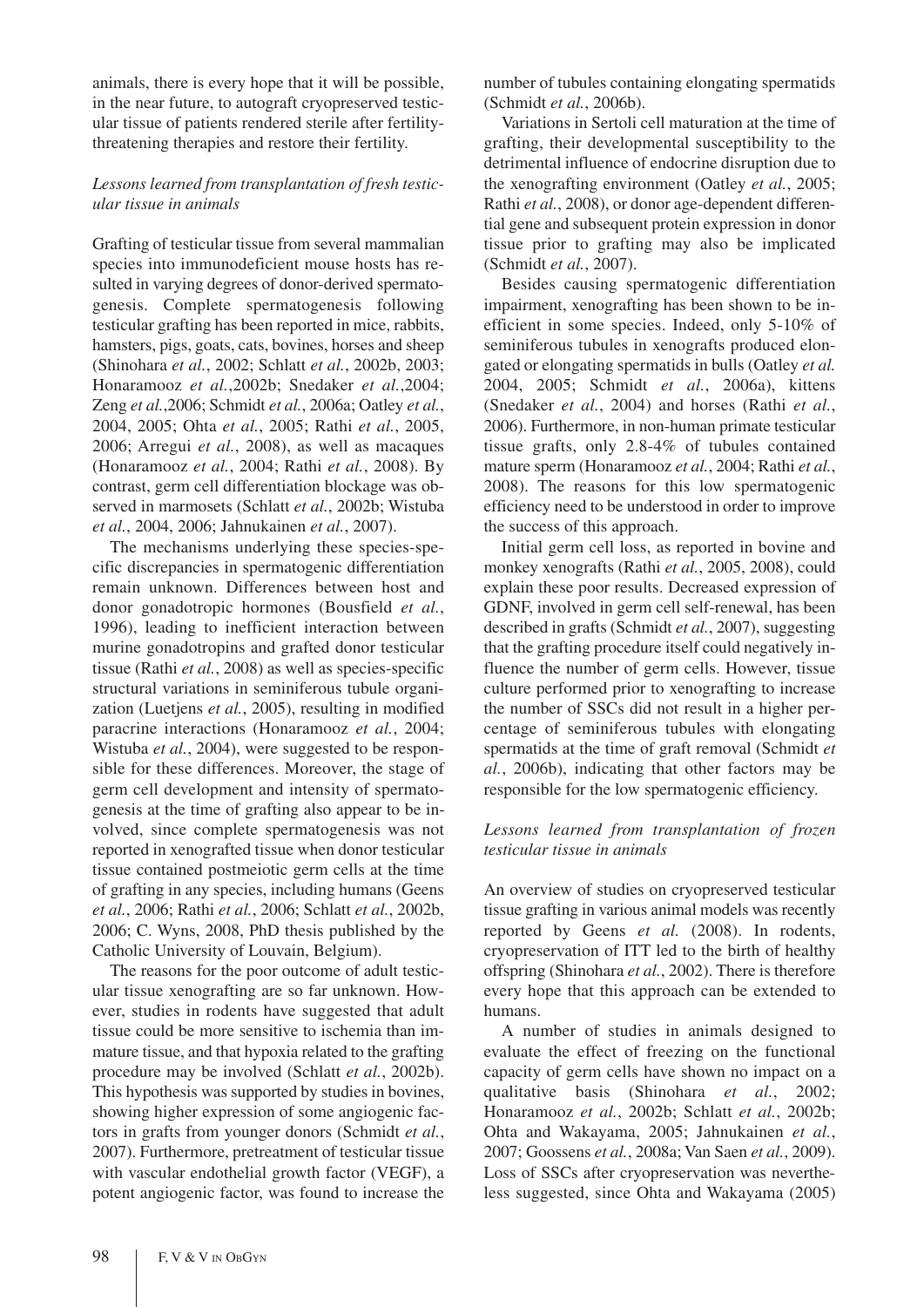animals, there is every hope that it will be possible, in the near future, to autograft cryopreserved testicular tissue of patients rendered sterile after fertilitythreatening therapies and restore their fertility.

# *Lessons learned from transplantation of fresh testicular tissue in animals*

Grafting of testicular tissue from several mammalian species into immunodeficient mouse hosts has resulted in varying degrees of donor-derived spermatogenesis. Complete spermatogenesis following testicular grafting has been reported in mice, rabbits, hamsters, pigs, goats, cats, bovines, horses and sheep (Shinohara *et al.*, 2002; Schlatt *et al.*, 2002b, 2003; Honaramooz *et al.*,2002b; Snedaker *et al.*,2004; Zeng *et al.*,2006; Schmidt *et al.*, 2006a; Oatley *et al.*, 2004, 2005; Ohta *et al.*, 2005; Rathi *et al.*, 2005, 2006; Arregui *et al.*, 2008), as well as macaques (Honaramooz *et al.*, 2004; Rathi *et al.*, 2008). By contrast, germ cell differentiation blockage was observed in marmosets (Schlatt *et al.*, 2002b; Wistuba *et al.*, 2004, 2006; Jahnukainen *et al.*, 2007).

The mechanisms underlying these species-specific discrepancies in spermatogenic differentiation remain unknown. Differences between host and donor gonadotropic hormones (Bousfield *et al.*, 1996), leading to inefficient interaction between murine gonadotropins and grafted donor testicular tissue (Rathi *et al.*, 2008) as well as species-specific structural variations in seminiferous tubule organization (Luetjens *et al.*, 2005), resulting in modified paracrine interactions (Honaramooz *et al.*, 2004; Wistuba *et al.*, 2004), were suggested to be responsible for these differences. Moreover, the stage of germ cell development and intensity of spermatogenesis at the time of grafting also appear to be involved, since complete spermatogenesis was not reported in xenografted tissue when donor testicular tissue contained postmeiotic germ cells at the time of grafting in any species, including humans (Geens *et al.*, 2006; Rathi *et al.*, 2006; Schlatt *et al.*, 2002b, 2006; C. Wyns, 2008, PhD thesis published by the Catholic University of Louvain, Belgium).

The reasons for the poor outcome of adult testicular tissue xenografting are so far unknown. However, studies in rodents have suggested that adult tissue could be more sensitive to ischemia than immature tissue, and that hypoxia related to the grafting procedure may be involved (Schlatt *et al.*, 2002b). This hypothesis was supported by studies in bovines, showing higher expression of some angiogenic factors in grafts from younger donors (Schmidt *et al.*, 2007). Furthermore, pretreatment of testicular tissue with vascular endothelial growth factor (VEGF), a potent angiogenic factor, was found to increase the

number of tubules containing elongating spermatids (Schmidt *et al.*, 2006b).

Variations in Sertoli cell maturation at the time of grafting, their developmental susceptibility to the detrimental influence of endocrine disruption due to the xenografting environment (Oatley *et al.*, 2005; Rathi *et al.*, 2008), or donor age-dependent differential gene and subsequent protein expression in donor tissue prior to grafting may also be implicated (Schmidt *et al.*, 2007).

Besides causing spermatogenic differentiation impairment, xenografting has been shown to be inefficient in some species. Indeed, only 5-10% of seminiferous tubules in xenografts produced elongated or elongating spermatids in bulls (Oatley *et al.* 2004, 2005; Schmidt *et al.*, 2006a), kittens (Snedaker *et al.*, 2004) and horses (Rathi *et al.*, 2006). Furthermore, in non-human primate testicular tissue grafts, only 2.8-4% of tubules contained mature sperm (Honaramooz *et al.*, 2004; Rathi *et al.*, 2008). The reasons for this low spermatogenic efficiency need to be understood in order to improve the success of this approach.

Initial germ cell loss, as reported in bovine and monkey xenografts (Rathi *et al.*, 2005, 2008), could explain these poor results. Decreased expression of GDNF, involved in germ cell self-renewal, has been described in grafts (Schmidt *et al.*, 2007), suggesting that the grafting procedure itself could negatively influence the number of germ cells. However, tissue culture performed prior to xenografting to increase the number of SSCs did not result in a higher percentage of seminiferous tubules with elongating spermatids at the time of graft removal (Schmidt *et al.*, 2006b), indicating that other factors may be responsible for the low spermatogenic efficiency.

# *Lessons learned from transplantation of frozen testicular tissue in animals*

An overview of studies on cryopreserved testicular tissue grafting in various animal models was recently reported by Geens *et al.* (2008). In rodents, cryopreservation of ITT led to the birth of healthy offspring (Shinohara *et al.*, 2002). There is therefore every hope that this approach can be extended to humans.

A number of studies in animals designed to evaluate the effect of freezing on the functional capacity of germ cells have shown no impact on a qualitative basis (Shinohara *et al.*, 2002; Honaramooz *et al.*, 2002b; Schlatt *et al.*, 2002b; Ohta and Wakayama, 2005; Jahnukainen *et al.*, 2007; Goossens *et al.*, 2008a; Van Saen *et al.*, 2009). Loss of SSCs after cryopreservation was nevertheless suggested, since Ohta and Wakayama (2005)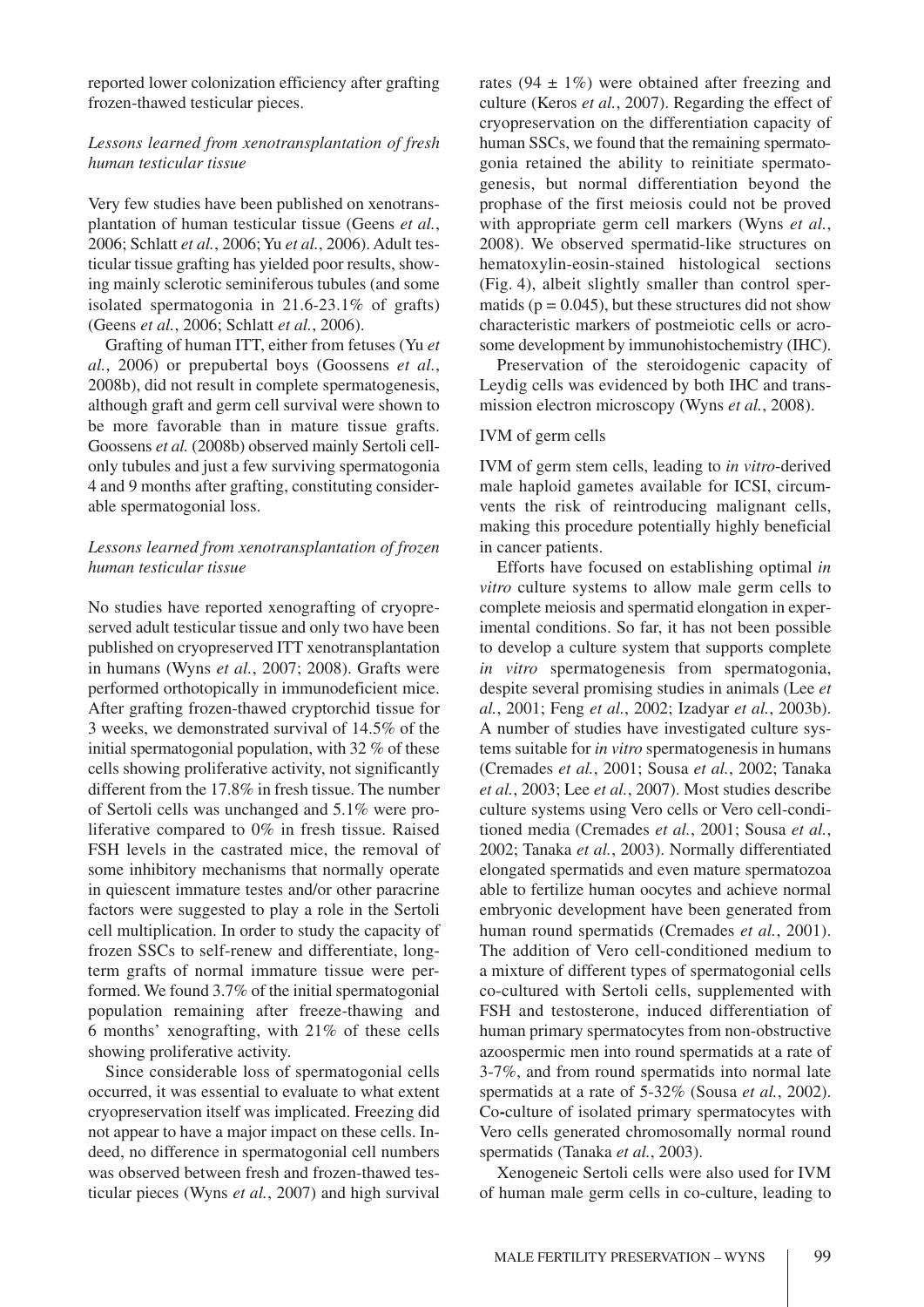reported lower colonization efficiency after grafting frozen-thawed testicular pieces.

# *Lessons learned from xenotransplantation of fresh human testicular tissue*

Very few studies have been published on xenotransplantation of human testicular tissue (Geens *et al.*, 2006; Schlatt *et al.*, 2006; Yu *et al.*, 2006). Adult testicular tissue grafting has yielded poor results, showing mainly sclerotic seminiferous tubules (and some isolated spermatogonia in 21.6-23.1% of grafts) (Geens *et al.*, 2006; Schlatt *et al.*, 2006).

Grafting of human ITT, either from fetuses (Yu *et al.*, 2006) or prepubertal boys (Goossens *et al.*, 2008b), did not result in complete spermatogenesis, although graft and germ cell survival were shown to be more favorable than in mature tissue grafts. Goossens *et al.* (2008b) observed mainly Sertoli cellonly tubules and just a few surviving spermatogonia 4 and 9 months after grafting, constituting considerable spermatogonial loss.

# *Lessons learned from xenotransplantation of frozen human testicular tissue*

No studies have reported xenografting of cryopreserved adult testicular tissue and only two have been published on cryopreserved ITT xenotransplantation in humans (Wyns *et al.*, 2007; 2008). Grafts were performed orthotopically in immunodeficient mice. After grafting frozen-thawed cryptorchid tissue for 3 weeks, we demonstrated survival of 14.5% of the initial spermatogonial population, with 32 % of these cells showing proliferative activity, not significantly different from the 17.8% in fresh tissue. The number of Sertoli cells was unchanged and 5.1% were proliferative compared to 0% in fresh tissue. Raised FSH levels in the castrated mice, the removal of some inhibitory mechanisms that normally operate in quiescent immature testes and/or other paracrine factors were suggested to play a role in the Sertoli cell multiplication. In order to study the capacity of frozen SSCs to self-renew and differentiate, longterm grafts of normal immature tissue were performed. We found 3.7% of the initial spermatogonial population remaining after freeze-thawing and 6 months' xenografting, with 21% of these cells showing proliferative activity.

Since considerable loss of spermatogonial cells occurred, it was essential to evaluate to what extent cryopreservation itself was implicated. Freezing did not appear to have a major impact on these cells. Indeed, no difference in spermatogonial cell numbers was observed between fresh and frozen-thawed testicular pieces (Wyns *et al.*, 2007) and high survival

rates (94  $\pm$  1%) were obtained after freezing and culture (Keros *et al.*, 2007). Regarding the effect of cryopreservation on the differentiation capacity of human SSCs, we found that the remaining spermatogonia retained the ability to reinitiate spermatogenesis, but normal differentiation beyond the prophase of the first meiosis could not be proved with appropriate germ cell markers (Wyns *et al.*, 2008). We observed spermatid-like structures on hematoxylin-eosin-stained histological sections (Fig. 4), albeit slightly smaller than control spermatids ( $p = 0.045$ ), but these structures did not show characteristic markers of postmeiotic cells or acrosome development by immunohistochemistry (IHC).

Preservation of the steroidogenic capacity of Leydig cells was evidenced by both IHC and transmission electron microscopy (Wyns *et al.*, 2008).

## IVM of germ cells

IVM of germ stem cells, leading to *in vitro*-derived male haploid gametes available for ICSI, circumvents the risk of reintroducing malignant cells, making this procedure potentially highly beneficial in cancer patients.

Efforts have focused on establishing optimal *in vitro* culture systems to allow male germ cells to complete meiosis and spermatid elongation in experimental conditions. So far, it has not been possible to develop a culture system that supports complete *in vitro* spermatogenesis from spermatogonia, despite several promising studies in animals (Lee *et al.*, 2001; Feng *et al.*, 2002; Izadyar *et al.*, 2003b). A number of studies have investigated culture systems suitable for *in vitro* spermatogenesis in humans (Cremades *et al.*, 2001; Sousa *et al.*, 2002; Tanaka *et al.*, 2003; Lee *et al.*, 2007). Most studies describe culture systems using Vero cells or Vero cell-conditioned media (Cremades *et al.*, 2001; Sousa *et al.*, 2002; Tanaka *et al.*, 2003). Normally differentiated elongated spermatids and even mature spermatozoa able to fertilize human oocytes and achieve normal embryonic development have been generated from human round spermatids (Cremades *et al.*, 2001). The addition of Vero cell-conditioned medium to a mixture of different types of spermatogonial cells co-cultured with Sertoli cells, supplemented with FSH and testosterone, induced differentiation of human primary spermatocytes from non-obstructive azoospermic men into round spermatids at a rate of 3-7%, and from round spermatids into normal late spermatids at a rate of 5-32% (Sousa *et al.*, 2002). Co**-**culture of isolated primary spermatocytes with Vero cells generated chromosomally normal round spermatids (Tanaka *et al.*, 2003).

Xenogeneic Sertoli cells were also used for IVM of human male germ cells in co-culture, leading to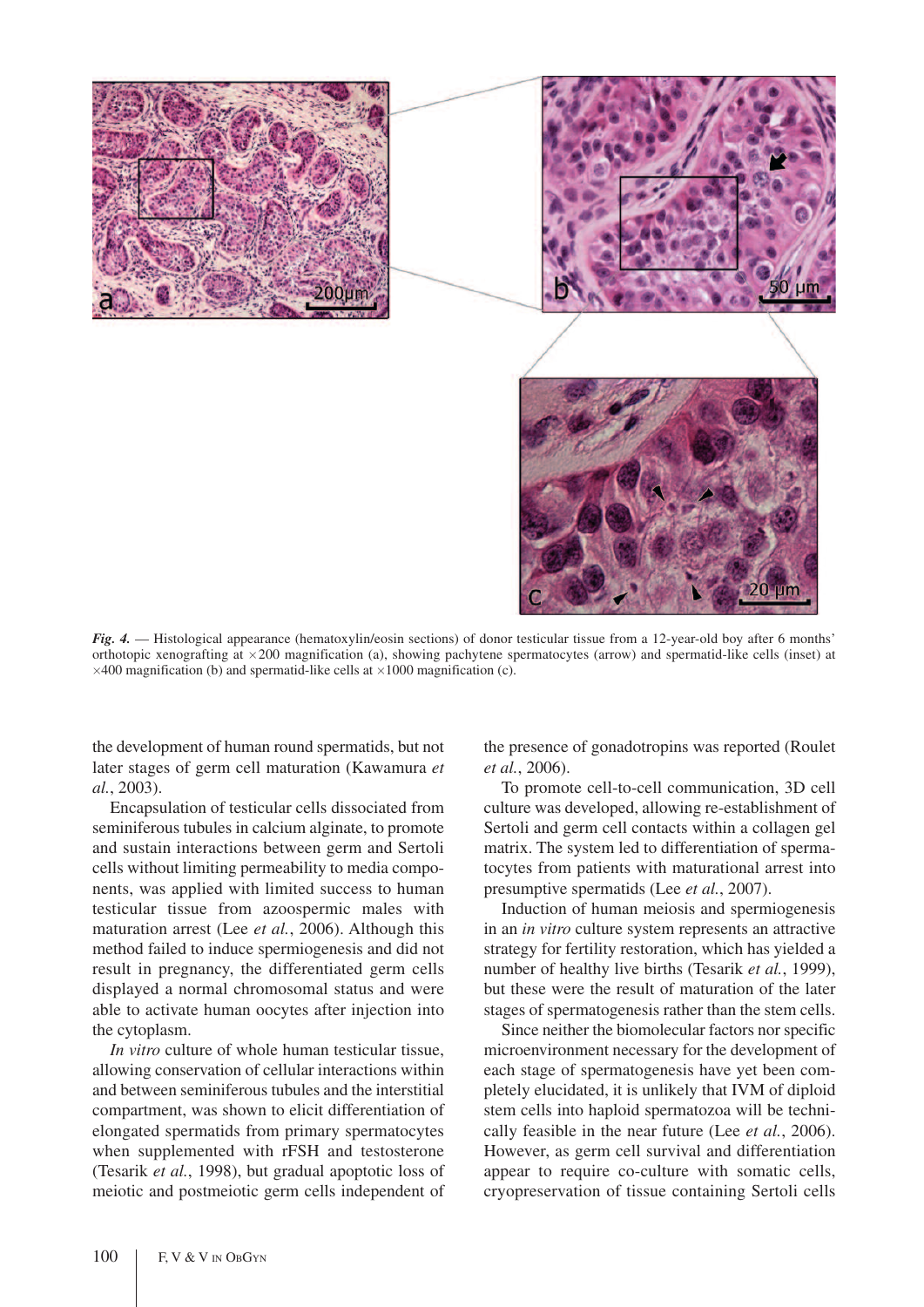

*Fig. 4.* — Histological appearance (hematoxylin/eosin sections) of donor testicular tissue from a 12-year-old boy after 6 months' orthotopic xenografting at  $\times 200$  magnification (a), showing pachytene spermatocytes (arrow) and spermatid-like cells (inset) at  $\times$  400 magnification (b) and spermatid-like cells at  $\times$  1000 magnification (c).

the development of human round spermatids, but not later stages of germ cell maturation (Kawamura *et al.*, 2003).

Encapsulation of testicular cells dissociated from seminiferous tubules in calcium alginate, to promote and sustain interactions between germ and Sertoli cells without limiting permeability to media components, was applied with limited success to human testicular tissue from azoospermic males with maturation arrest (Lee *et al.*, 2006). Although this method failed to induce spermiogenesis and did not result in pregnancy, the differentiated germ cells displayed a normal chromosomal status and were able to activate human oocytes after injection into the cytoplasm.

*In vitro* culture of whole human testicular tissue, allowing conservation of cellular interactions within and between seminiferous tubules and the interstitial compartment, was shown to elicit differentiation of elongated spermatids from primary spermatocytes when supplemented with rFSH and testosterone (Tesarik *et al.*, 1998), but gradual apoptotic loss of meiotic and postmeiotic germ cells independent of the presence of gonadotropins was reported (Roulet *et al.*, 2006).

To promote cell-to-cell communication, 3D cell culture was developed, allowing re-establishment of Sertoli and germ cell contacts within a collagen gel matrix. The system led to differentiation of spermatocytes from patients with maturational arrest into presumptive spermatids (Lee *et al.*, 2007).

Induction of human meiosis and spermiogenesis in an *in vitro* culture system represents an attractive strategy for fertility restoration, which has yielded a number of healthy live births (Tesarik *et al.*, 1999), but these were the result of maturation of the later stages of spermatogenesis rather than the stem cells.

Since neither the biomolecular factors nor specific microenvironment necessary for the development of each stage of spermatogenesis have yet been completely elucidated, it is unlikely that IVM of diploid stem cells into haploid spermatozoa will be technically feasible in the near future (Lee *et al.*, 2006). However, as germ cell survival and differentiation appear to require co-culture with somatic cells, cryopreservation of tissue containing Sertoli cells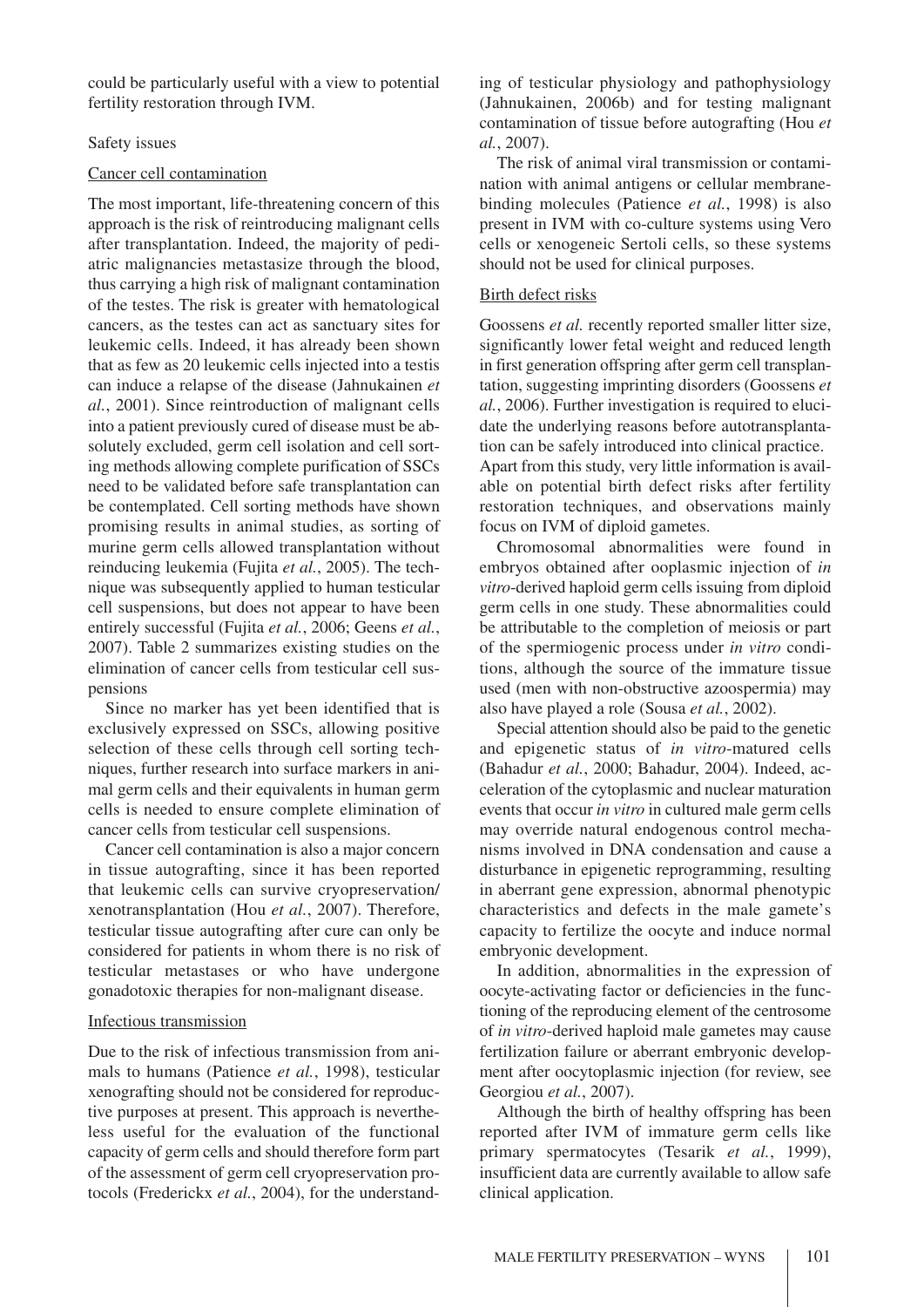could be particularly useful with a view to potential fertility restoration through IVM.

## Safety issues

## Cancer cell contamination

The most important, life-threatening concern of this approach is the risk of reintroducing malignant cells after transplantation. Indeed, the majority of pediatric malignancies metastasize through the blood, thus carrying a high risk of malignant contamination of the testes. The risk is greater with hematological cancers, as the testes can act as sanctuary sites for leukemic cells. Indeed, it has already been shown that as few as 20 leukemic cells injected into a testis can induce a relapse of the disease (Jahnukainen *et al.*, 2001). Since reintroduction of malignant cells into a patient previously cured of disease must be absolutely excluded, germ cell isolation and cell sorting methods allowing complete purification of SSCs need to be validated before safe transplantation can be contemplated. Cell sorting methods have shown promising results in animal studies, as sorting of murine germ cells allowed transplantation without reinducing leukemia (Fujita *et al.*, 2005). The technique was subsequently applied to human testicular cell suspensions, but does not appear to have been entirely successful (Fujita *et al.*, 2006; Geens *et al.*, 2007). Table 2 summarizes existing studies on the elimination of cancer cells from testicular cell suspensions

Since no marker has yet been identified that is exclusively expressed on SSCs, allowing positive selection of these cells through cell sorting techniques, further research into surface markers in animal germ cells and their equivalents in human germ cells is needed to ensure complete elimination of cancer cells from testicular cell suspensions.

Cancer cell contamination is also a major concern in tissue autografting, since it has been reported that leukemic cells can survive cryopreservation/ xenotransplantation (Hou *et al.*, 2007). Therefore, testicular tissue autografting after cure can only be considered for patients in whom there is no risk of testicular metastases or who have undergone gonadotoxic therapies for non-malignant disease.

## Infectious transmission

Due to the risk of infectious transmission from animals to humans (Patience *et al.*, 1998), testicular xenografting should not be considered for reproductive purposes at present. This approach is nevertheless useful for the evaluation of the functional capacity of germ cells and should therefore form part of the assessment of germ cell cryopreservation protocols (Frederickx *et al.*, 2004), for the understand-

ing of testicular physiology and pathophysiology (Jahnukainen, 2006b) and for testing malignant contamination of tissue before autografting (Hou *et al.*, 2007).

The risk of animal viral transmission or contamination with animal antigens or cellular membranebinding molecules (Patience *et al.*, 1998) is also present in IVM with co-culture systems using Vero cells or xenogeneic Sertoli cells, so these systems should not be used for clinical purposes.

## Birth defect risks

Goossens *et al.* recently reported smaller litter size, significantly lower fetal weight and reduced length in first generation offspring after germ cell transplantation, suggesting imprinting disorders (Goossens *et al.*, 2006). Further investigation is required to elucidate the underlying reasons before autotransplantation can be safely introduced into clinical practice. Apart from this study, very little information is available on potential birth defect risks after fertility restoration techniques, and observations mainly focus on IVM of diploid gametes.

Chromosomal abnormalities were found in embryos obtained after ooplasmic injection of *in vitro*-derived haploid germ cells issuing from diploid germ cells in one study. These abnormalities could be attributable to the completion of meiosis or part of the spermiogenic process under *in vitro* conditions, although the source of the immature tissue used (men with non-obstructive azoospermia) may also have played a role (Sousa *et al.*, 2002).

Special attention should also be paid to the genetic and epigenetic status of *in vitro*-matured cells (Bahadur *et al.*, 2000; Bahadur, 2004). Indeed, acceleration of the cytoplasmic and nuclear maturation events that occur *in vitro* in cultured male germ cells may override natural endogenous control mechanisms involved in DNA condensation and cause a disturbance in epigenetic reprogramming, resulting in aberrant gene expression, abnormal phenotypic characteristics and defects in the male gamete's capacity to fertilize the oocyte and induce normal embryonic development.

In addition, abnormalities in the expression of oocyte-activating factor or deficiencies in the functioning of the reproducing element of the centrosome of *in vitro*-derived haploid male gametes may cause fertilization failure or aberrant embryonic development after oocytoplasmic injection (for review, see Georgiou *et al.*, 2007).

Although the birth of healthy offspring has been reported after IVM of immature germ cells like primary spermatocytes (Tesarik *et al.*, 1999), insufficient data are currently available to allow safe clinical application.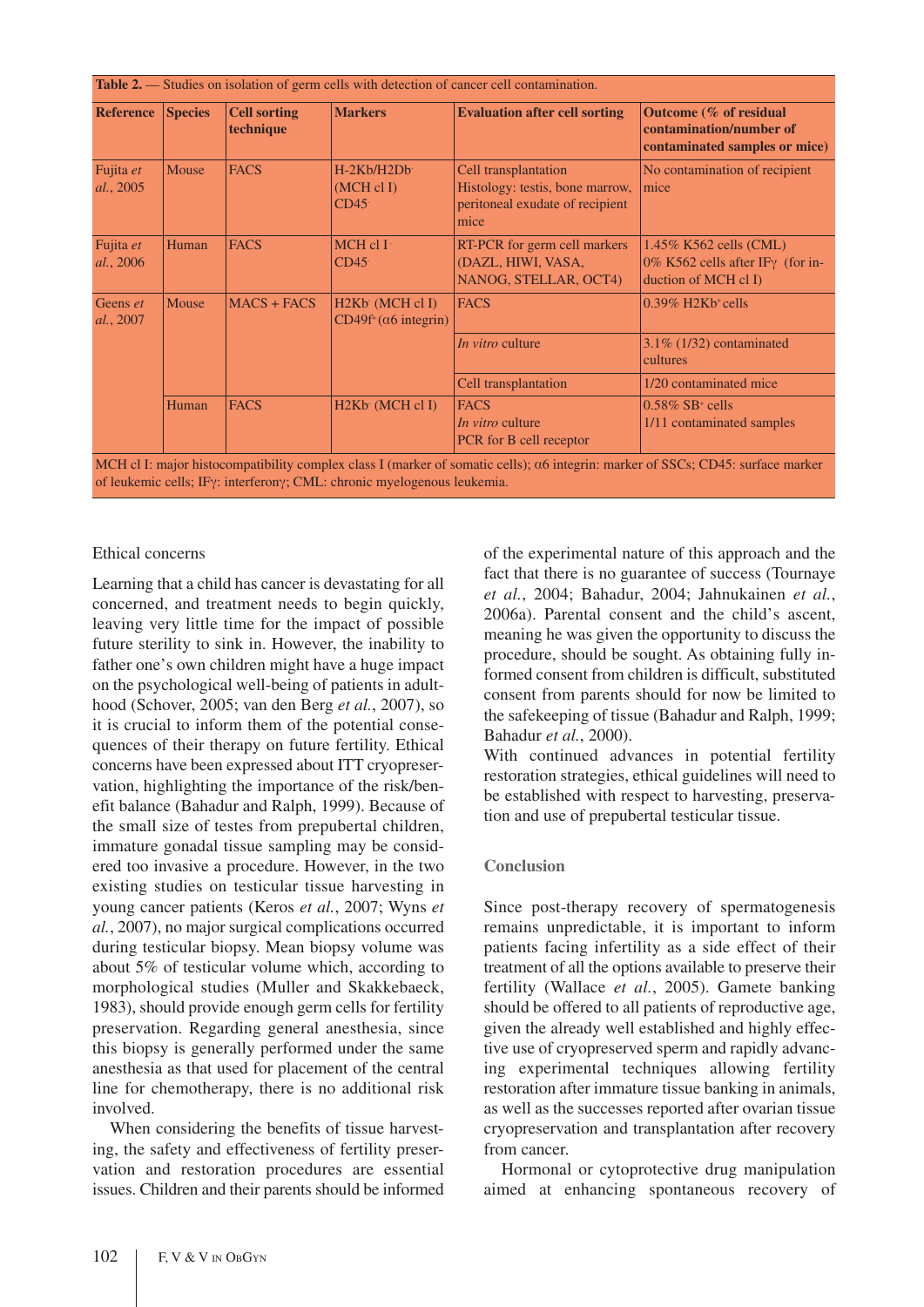| <b>Reference</b>       | <b>Species</b> | <b>Cell sorting</b><br>technique | <b>Markers</b>                                              | <b>Evaluation after cell sorting</b>                                                               | Outcome (% of residual<br>contamination/number of<br>contaminated samples or mice)         |  |
|------------------------|----------------|----------------------------------|-------------------------------------------------------------|----------------------------------------------------------------------------------------------------|--------------------------------------------------------------------------------------------|--|
| Fujita et<br>al., 2005 | Mouse          | <b>FACS</b>                      | $H-2Kb/H2Db$<br>$(MCH \, cl \, I)$<br>CD45                  | Cell transplantation<br>Histology: testis, bone marrow,<br>peritoneal exudate of recipient<br>mice | No contamination of recipient<br>mice                                                      |  |
| Fujita et<br>al., 2006 | Human          | <b>FACS</b>                      | $MCH$ cl I <sup>-</sup><br>CD45                             | RT-PCR for germ cell markers<br>(DAZL, HIWI, VASA,<br>NANOG, STELLAR, OCT4)                        | 1.45% K562 cells (CML)<br>0% K562 cells after IF $\gamma$ (for in-<br>duction of MCH cl I) |  |
| Geens et<br>al., 2007  | Mouse          | $MACS + FACS$                    | H <sub>2K</sub> b (MCH cl I)<br>$CD49f+(\alpha 6$ integrin) | <b>FACS</b>                                                                                        | $0.39\%$ H2Kb <sup>+</sup> cells                                                           |  |
|                        |                |                                  |                                                             | <i>In vitro</i> culture                                                                            | $3.1\%$ (1/32) contaminated<br>cultures                                                    |  |
|                        |                |                                  |                                                             | Cell transplantation                                                                               | 1/20 contaminated mice                                                                     |  |
|                        | Human          | <b>FACS</b>                      | H <sub>2K</sub> b (MCH cl I)                                | <b>FACS</b><br><i>In vitro</i> culture<br>PCR for B cell receptor                                  | $0.58\%$ SB <sup>+</sup> cells<br>1/11 contaminated samples                                |  |

MCH cl I: major histocompatibility complex class I (marker of somatic cells);  $\alpha$ 6 integrin: marker of SSCs; CD45: surface marker of leukemic cells; IFg: interferong; CML: chronic myelogenous leukemia.

# Ethical concerns

Learning that a child has cancer is devastating for all concerned, and treatment needs to begin quickly, leaving very little time for the impact of possible future sterility to sink in. However, the inability to father one's own children might have a huge impact on the psychological well-being of patients in adulthood (Schover, 2005; van den Berg *et al.*, 2007), so it is crucial to inform them of the potential consequences of their therapy on future fertility. Ethical concerns have been expressed about ITT cryopreservation, highlighting the importance of the risk/benefit balance (Bahadur and Ralph, 1999). Because of the small size of testes from prepubertal children, immature gonadal tissue sampling may be considered too invasive a procedure. However, in the two existing studies on testicular tissue harvesting in young cancer patients (Keros *et al.*, 2007; Wyns *et al.*, 2007), no major surgical complications occurred during testicular biopsy. Mean biopsy volume was about 5% of testicular volume which, according to morphological studies (Muller and Skakkebaeck, 1983), should provide enough germ cells for fertility preservation. Regarding general anesthesia, since this biopsy is generally performed under the same anesthesia as that used for placement of the central line for chemotherapy, there is no additional risk involved.

When considering the benefits of tissue harvesting, the safety and effectiveness of fertility preservation and restoration procedures are essential issues. Children and their parents should be informed of the experimental nature of this approach and the fact that there is no guarantee of success (Tournaye *et al.*, 2004; Bahadur, 2004; Jahnukainen *et al.*, 2006a). Parental consent and the child's ascent, meaning he was given the opportunity to discuss the procedure, should be sought. As obtaining fully informed consent from children is difficult, substituted consent from parents should for now be limited to the safekeeping of tissue (Bahadur and Ralph, 1999; Bahadur *et al.*, 2000).

With continued advances in potential fertility restoration strategies, ethical guidelines will need to be established with respect to harvesting, preservation and use of prepubertal testicular tissue.

# **Conclusion**

Since post-therapy recovery of spermatogenesis remains unpredictable, it is important to inform patients facing infertility as a side effect of their treatment of all the options available to preserve their fertility (Wallace *et al.*, 2005). Gamete banking should be offered to all patients of reproductive age, given the already well established and highly effective use of cryopreserved sperm and rapidly advancing experimental techniques allowing fertility restoration after immature tissue banking in animals, as well as the successes reported after ovarian tissue cryopreservation and transplantation after recovery from cancer.

Hormonal or cytoprotective drug manipulation aimed at enhancing spontaneous recovery of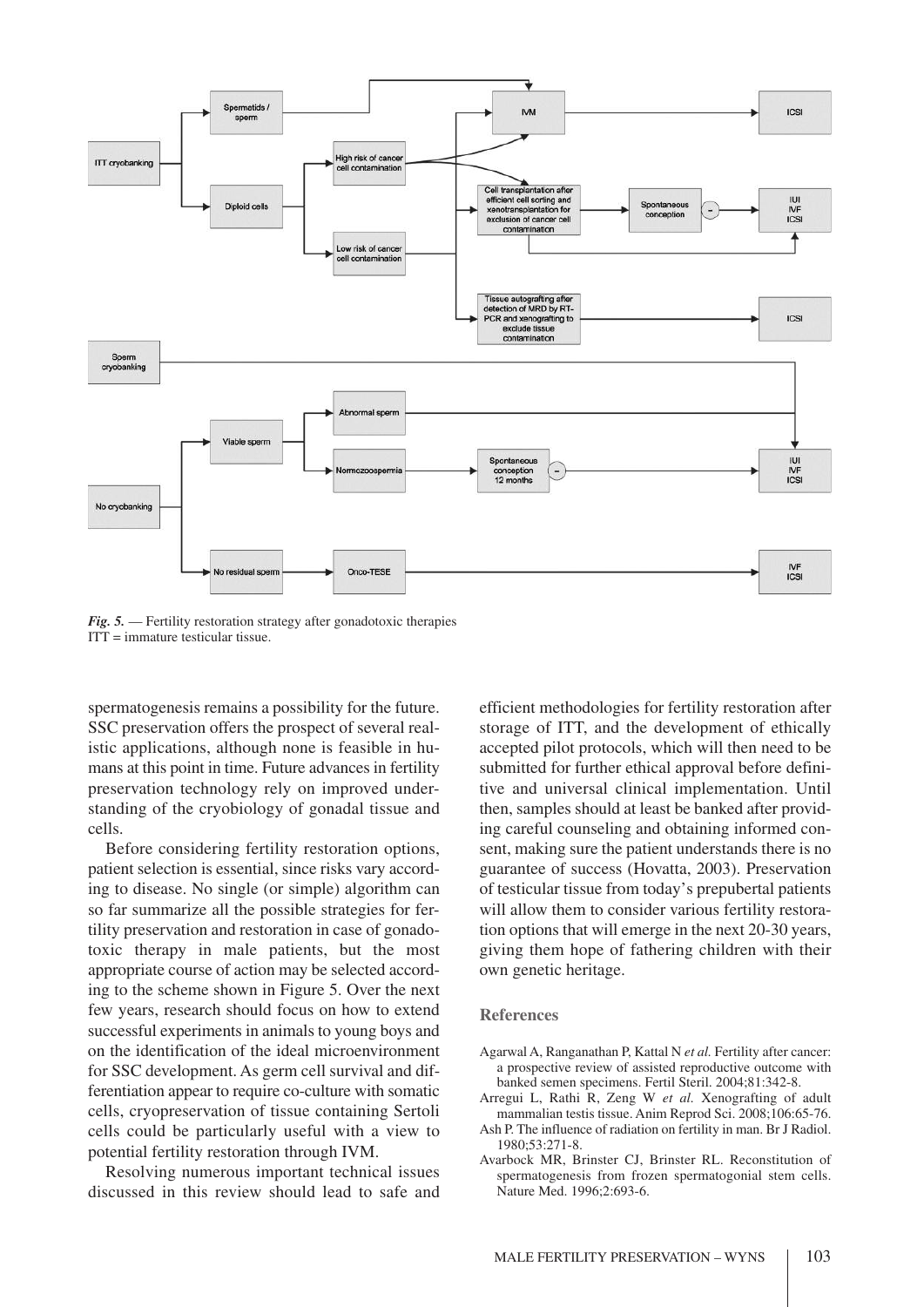

*Fig. 5.* — Fertility restoration strategy after gonadotoxic therapies  $ITT = \text{immature testicular tissue.}$ 

spermatogenesis remains a possibility for the future. SSC preservation offers the prospect of several realistic applications, although none is feasible in humans at this point in time. Future advances in fertility preservation technology rely on improved understanding of the cryobiology of gonadal tissue and cells.

Before considering fertility restoration options, patient selection is essential, since risks vary according to disease. No single (or simple) algorithm can so far summarize all the possible strategies for fertility preservation and restoration in case of gonadotoxic therapy in male patients, but the most appropriate course of action may be selected according to the scheme shown in Figure 5. Over the next few years, research should focus on how to extend successful experiments in animals to young boys and on the identification of the ideal microenvironment for SSC development. As germ cell survival and differentiation appear to require co-culture with somatic cells, cryopreservation of tissue containing Sertoli cells could be particularly useful with a view to potential fertility restoration through IVM.

Resolving numerous important technical issues discussed in this review should lead to safe and efficient methodologies for fertility restoration after storage of ITT, and the development of ethically accepted pilot protocols, which will then need to be submitted for further ethical approval before definitive and universal clinical implementation. Until then, samples should at least be banked after providing careful counseling and obtaining informed consent, making sure the patient understands there is no guarantee of success (Hovatta, 2003). Preservation of testicular tissue from today's prepubertal patients will allow them to consider various fertility restoration options that will emerge in the next 20-30 years, giving them hope of fathering children with their own genetic heritage.

#### **References**

- Agarwal A, Ranganathan P, Kattal N *et al.* Fertility after cancer: a prospective review of assisted reproductive outcome with banked semen specimens. Fertil Steril. 2004;81:342-8.
- Arregui L, Rathi R, Zeng W *et al.* Xenografting of adult mammalian testis tissue. Anim Reprod Sci. 2008;106:65-76.
- Ash P. The influence of radiation on fertility in man. Br J Radiol. 1980;53:271-8.
- Avarbock MR, Brinster CJ, Brinster RL. Reconstitution of spermatogenesis from frozen spermatogonial stem cells. Nature Med. 1996;2:693-6.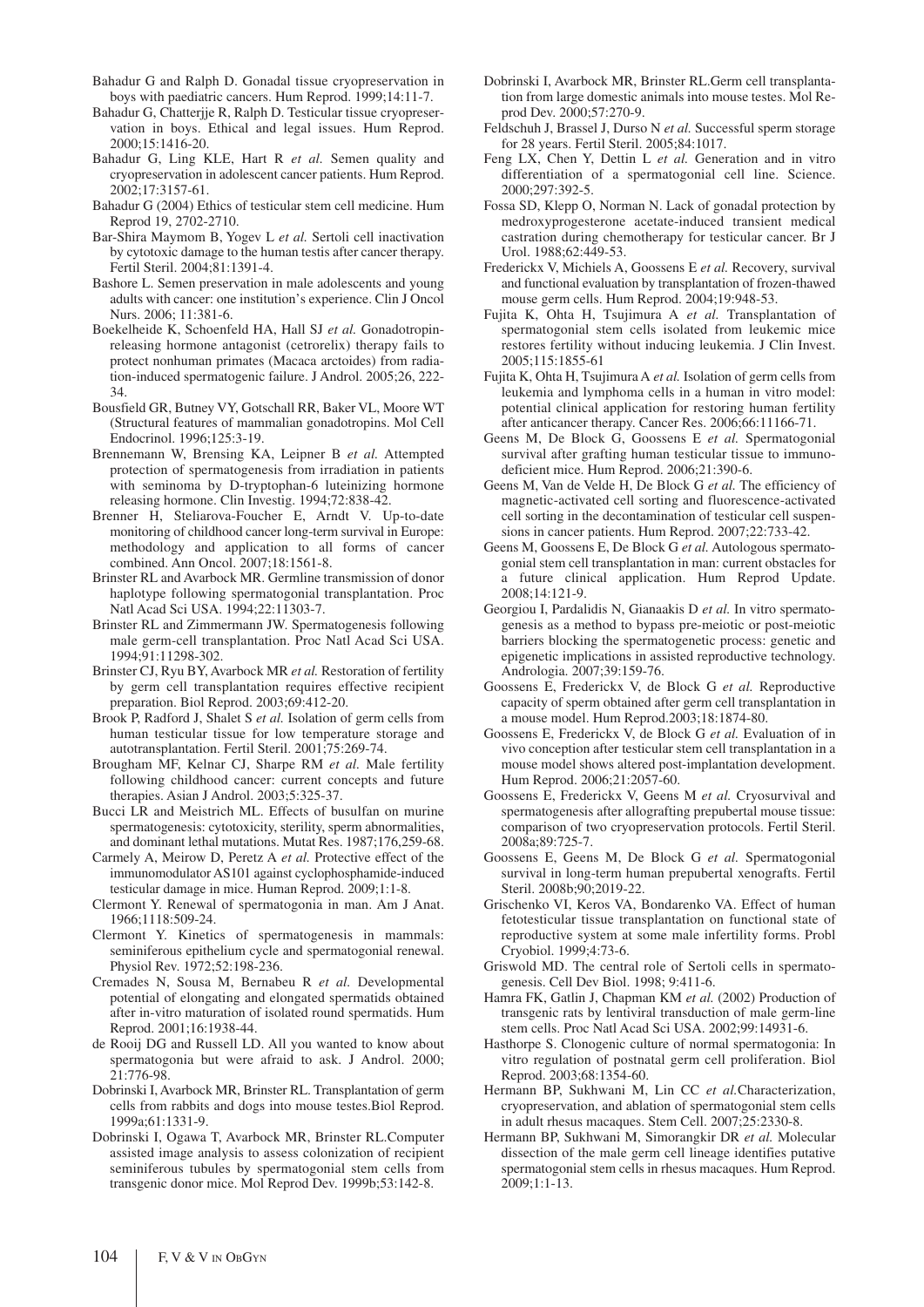- Bahadur G and Ralph D. Gonadal tissue cryopreservation in boys with paediatric cancers. Hum Reprod. 1999;14:11-7.
- Bahadur G, Chatterjje R, Ralph D. Testicular tissue cryopreservation in boys. Ethical and legal issues. Hum Reprod. 2000;15:1416-20.
- Bahadur G, Ling KLE, Hart R *et al.* Semen quality and cryopreservation in adolescent cancer patients. Hum Reprod. 2002;17:3157-61.
- Bahadur G (2004) Ethics of testicular stem cell medicine. Hum Reprod 19, 2702-2710.
- Bar-Shira Maymom B, Yogev L *et al.* Sertoli cell inactivation by cytotoxic damage to the human testis after cancer therapy. Fertil Steril. 2004;81:1391-4.
- Bashore L. Semen preservation in male adolescents and young adults with cancer: one institution's experience. Clin J Oncol Nurs. 2006; 11:381-6.
- Boekelheide K, Schoenfeld HA, Hall SJ *et al.* Gonadotropinreleasing hormone antagonist (cetrorelix) therapy fails to protect nonhuman primates (Macaca arctoides) from radiation-induced spermatogenic failure. J Androl. 2005;26, 222- 34.
- Bousfield GR, Butney VY, Gotschall RR, Baker VL, Moore WT (Structural features of mammalian gonadotropins. Mol Cell Endocrinol. 1996;125:3-19.
- Brennemann W, Brensing KA, Leipner B *et al.* Attempted protection of spermatogenesis from irradiation in patients with seminoma by D-tryptophan-6 luteinizing hormone releasing hormone. Clin Investig. 1994;72:838-42.
- Brenner H, Steliarova-Foucher E, Arndt V. Up-to-date monitoring of childhood cancer long-term survival in Europe: methodology and application to all forms of cancer combined. Ann Oncol. 2007;18:1561-8.
- Brinster RL and Avarbock MR. Germline transmission of donor haplotype following spermatogonial transplantation. Proc Natl Acad Sci USA. 1994;22:11303-7.
- Brinster RL and Zimmermann JW. Spermatogenesis following male germ-cell transplantation. Proc Natl Acad Sci USA. 1994;91:11298-302.
- Brinster CJ, Ryu BY, Avarbock MR *et al.* Restoration of fertility by germ cell transplantation requires effective recipient preparation. Biol Reprod. 2003;69:412-20.
- Brook P, Radford J, Shalet S *et al.* Isolation of germ cells from human testicular tissue for low temperature storage and autotransplantation. Fertil Steril. 2001;75:269-74.
- Brougham MF, Kelnar CJ, Sharpe RM *et al.* Male fertility following childhood cancer: current concepts and future therapies. Asian J Androl. 2003;5:325-37.
- Bucci LR and Meistrich ML. Effects of busulfan on murine spermatogenesis: cytotoxicity, sterility, sperm abnormalities, and dominant lethal mutations. Mutat Res. 1987;176,259-68.
- Carmely A, Meirow D, Peretz A *et al.* Protective effect of the immunomodulator AS101 against cyclophosphamide-induced testicular damage in mice. Human Reprod. 2009;1:1-8.
- Clermont Y. Renewal of spermatogonia in man. Am J Anat. 1966;1118:509-24.
- Clermont Y. Kinetics of spermatogenesis in mammals: seminiferous epithelium cycle and spermatogonial renewal. Physiol Rev. 1972;52:198-236.
- Cremades N, Sousa M, Bernabeu R *et al.* Developmental potential of elongating and elongated spermatids obtained after in-vitro maturation of isolated round spermatids. Hum Reprod. 2001;16:1938-44.
- de Rooij DG and Russell LD. All you wanted to know about spermatogonia but were afraid to ask. J Androl. 2000; 21:776-98.
- Dobrinski I, Avarbock MR, Brinster RL. Transplantation of germ cells from rabbits and dogs into mouse testes.Biol Reprod. 1999a;61:1331-9.
- Dobrinski I, Ogawa T, Avarbock MR, Brinster RL.Computer assisted image analysis to assess colonization of recipient seminiferous tubules by spermatogonial stem cells from transgenic donor mice. Mol Reprod Dev. 1999b;53:142-8.
- Dobrinski I, Avarbock MR, Brinster RL.Germ cell transplantation from large domestic animals into mouse testes. Mol Reprod Dev. 2000;57:270-9.
- Feldschuh J, Brassel J, Durso N *et al.* Successful sperm storage for 28 years. Fertil Steril. 2005;84:1017.
- Feng LX, Chen Y, Dettin L *et al.* Generation and in vitro differentiation of a spermatogonial cell line. Science. 2000;297:392-5.
- Fossa SD, Klepp O, Norman N. Lack of gonadal protection by medroxyprogesterone acetate-induced transient medical castration during chemotherapy for testicular cancer. Br J Urol. 1988;62:449-53.
- Frederickx V, Michiels A, Goossens E *et al.* Recovery, survival and functional evaluation by transplantation of frozen-thawed mouse germ cells. Hum Reprod. 2004;19:948-53.
- Fujita K, Ohta H, Tsujimura A *et al.* Transplantation of spermatogonial stem cells isolated from leukemic mice restores fertility without inducing leukemia. J Clin Invest. 2005;115:1855-61
- Fujita K, Ohta H, Tsujimura A *et al.* Isolation of germ cells from leukemia and lymphoma cells in a human in vitro model: potential clinical application for restoring human fertility after anticancer therapy. Cancer Res. 2006;66:11166-71.
- Geens M, De Block G, Goossens E *et al.* Spermatogonial survival after grafting human testicular tissue to immunodeficient mice. Hum Reprod. 2006;21:390-6.
- Geens M, Van de Velde H, De Block G *et al.* The efficiency of magnetic-activated cell sorting and fluorescence-activated cell sorting in the decontamination of testicular cell suspensions in cancer patients. Hum Reprod. 2007;22:733-42.
- Geens M, Goossens E, De Block G *et al.* Autologous spermatogonial stem cell transplantation in man: current obstacles for a future clinical application. Hum Reprod Update. 2008;14:121-9.
- Georgiou I, Pardalidis N, Gianaakis D *et al.* In vitro spermatogenesis as a method to bypass pre-meiotic or post-meiotic barriers blocking the spermatogenetic process: genetic and epigenetic implications in assisted reproductive technology. Andrologia. 2007;39:159-76.
- Goossens E, Frederickx V, de Block G *et al.* Reproductive capacity of sperm obtained after germ cell transplantation in a mouse model. Hum Reprod.2003;18:1874-80.
- Goossens E, Frederickx V, de Block G *et al.* Evaluation of in vivo conception after testicular stem cell transplantation in a mouse model shows altered post-implantation development. Hum Reprod. 2006;21:2057-60.
- Goossens E, Frederickx V, Geens M *et al.* Cryosurvival and spermatogenesis after allografting prepubertal mouse tissue: comparison of two cryopreservation protocols. Fertil Steril. 2008a;89:725-7.
- Goossens E, Geens M, De Block G *et al.* Spermatogonial survival in long-term human prepubertal xenografts. Fertil Steril. 2008b;90;2019-22.
- Grischenko VI, Keros VA, Bondarenko VA. Effect of human fetotesticular tissue transplantation on functional state of reproductive system at some male infertility forms. Probl Cryobiol. 1999;4:73-6.
- Griswold MD. The central role of Sertoli cells in spermatogenesis. Cell Dev Biol. 1998; 9:411-6.
- Hamra FK, Gatlin J, Chapman KM *et al.* (2002) Production of transgenic rats by lentiviral transduction of male germ-line stem cells. Proc Natl Acad Sci USA. 2002;99:14931-6.
- Hasthorpe S. Clonogenic culture of normal spermatogonia: In vitro regulation of postnatal germ cell proliferation. Biol Reprod. 2003;68:1354-60.
- Hermann BP, Sukhwani M, Lin CC *et al.*Characterization, cryopreservation, and ablation of spermatogonial stem cells in adult rhesus macaques. Stem Cell. 2007;25:2330-8.
- Hermann BP, Sukhwani M, Simorangkir DR *et al.* Molecular dissection of the male germ cell lineage identifies putative spermatogonial stem cells in rhesus macaques. Hum Reprod. 2009;1:1-13.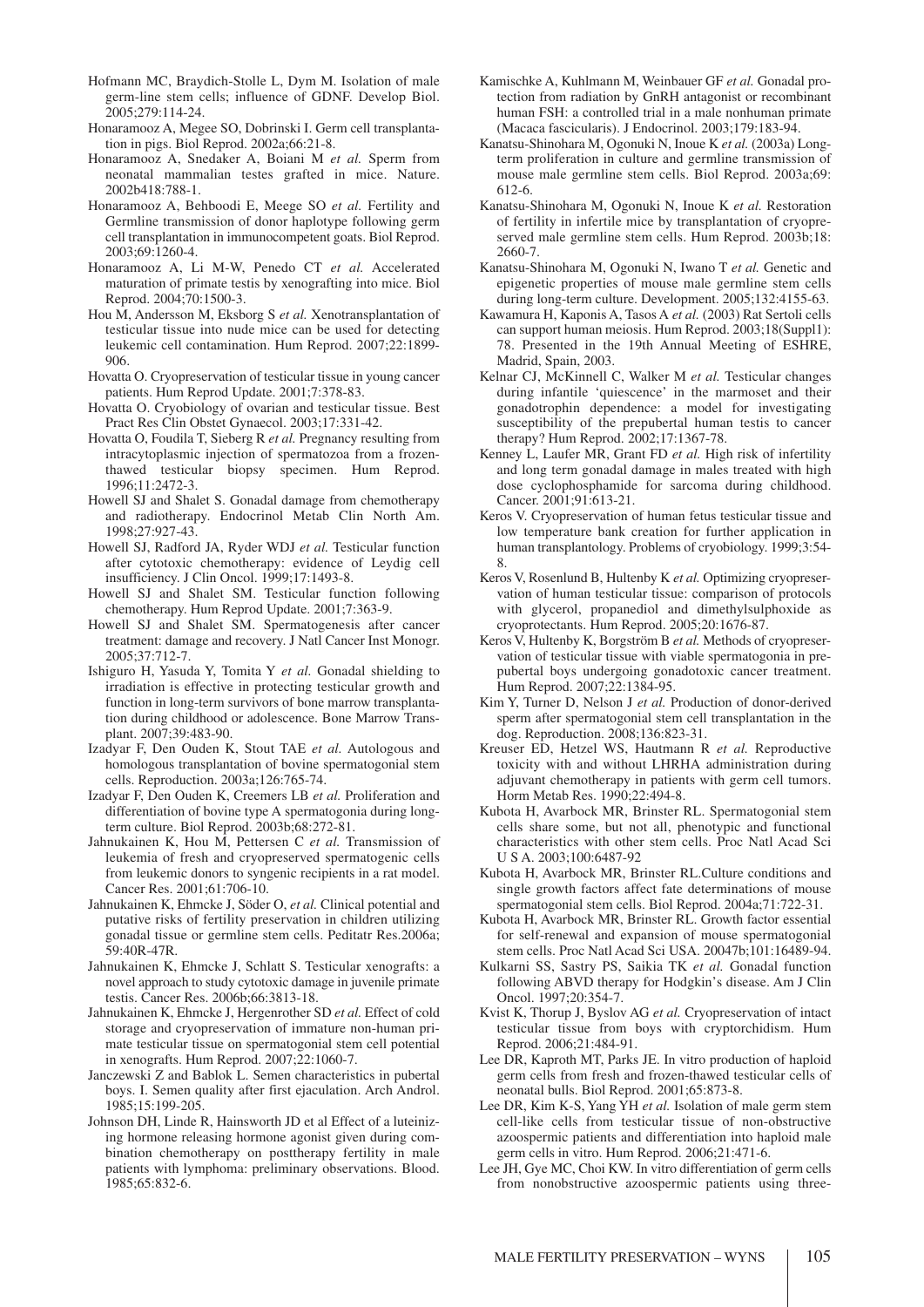- Hofmann MC, Braydich-Stolle L, Dym M. Isolation of male germ-line stem cells; influence of GDNF. Develop Biol. 2005;279:114-24.
- Honaramooz A, Megee SO, Dobrinski I. Germ cell transplantation in pigs. Biol Reprod. 2002a;66:21-8.
- Honaramooz A, Snedaker A, Boiani M *et al.* Sperm from neonatal mammalian testes grafted in mice. Nature. 2002b418:788-1.
- Honaramooz A, Behboodi E, Meege SO *et al.* Fertility and Germline transmission of donor haplotype following germ cell transplantation in immunocompetent goats. Biol Reprod. 2003;69:1260-4.
- Honaramooz A, Li M-W, Penedo CT *et al.* Accelerated maturation of primate testis by xenografting into mice. Biol Reprod. 2004;70:1500-3.
- Hou M, Andersson M, Eksborg S *et al.* Xenotransplantation of testicular tissue into nude mice can be used for detecting leukemic cell contamination. Hum Reprod. 2007;22:1899- 906.
- Hovatta O. Cryopreservation of testicular tissue in young cancer patients. Hum Reprod Update. 2001;7:378-83.
- Hovatta O. Cryobiology of ovarian and testicular tissue. Best Pract Res Clin Obstet Gynaecol. 2003;17:331-42.
- Hovatta O, Foudila T, Sieberg R *et al.* Pregnancy resulting from intracytoplasmic injection of spermatozoa from a frozenthawed testicular biopsy specimen. Hum Reprod. 1996;11:2472-3.
- Howell SJ and Shalet S. Gonadal damage from chemotherapy and radiotherapy. Endocrinol Metab Clin North Am. 1998;27:927-43.
- Howell SJ, Radford JA, Ryder WDJ *et al.* Testicular function after cytotoxic chemotherapy: evidence of Leydig cell insufficiency. J Clin Oncol. 1999;17:1493-8.
- Howell SJ and Shalet SM. Testicular function following chemotherapy. Hum Reprod Update. 2001;7:363-9.
- Howell SJ and Shalet SM. Spermatogenesis after cancer treatment: damage and recovery. J Natl Cancer Inst Monogr. 2005;37:712-7.
- Ishiguro H, Yasuda Y, Tomita Y *et al.* Gonadal shielding to irradiation is effective in protecting testicular growth and function in long-term survivors of bone marrow transplantation during childhood or adolescence. Bone Marrow Transplant. 2007;39:483-90.
- Izadyar F, Den Ouden K, Stout TAE *et al.* Autologous and homologous transplantation of bovine spermatogonial stem cells. Reproduction. 2003a;126:765-74.
- Izadyar F, Den Ouden K, Creemers LB *et al.* Proliferation and differentiation of bovine type A spermatogonia during longterm culture. Biol Reprod. 2003b;68:272-81.
- Jahnukainen K, Hou M, Pettersen C *et al.* Transmission of leukemia of fresh and cryopreserved spermatogenic cells from leukemic donors to syngenic recipients in a rat model. Cancer Res. 2001;61:706-10.
- Jahnukainen K, Ehmcke J, Söder O, *et al.* Clinical potential and putative risks of fertility preservation in children utilizing gonadal tissue or germline stem cells. Peditatr Res.2006a; 59:40R-47R.
- Jahnukainen K, Ehmcke J, Schlatt S. Testicular xenografts: a novel approach to study cytotoxic damage in juvenile primate testis. Cancer Res. 2006b;66:3813-18.
- Jahnukainen K, Ehmcke J, Hergenrother SD *et al.* Effect of cold storage and cryopreservation of immature non-human primate testicular tissue on spermatogonial stem cell potential in xenografts. Hum Reprod. 2007;22:1060-7.
- Janczewski Z and Bablok L. Semen characteristics in pubertal boys. I. Semen quality after first ejaculation. Arch Androl. 1985;15:199-205.
- Johnson DH, Linde R, Hainsworth JD et al Effect of a luteinizing hormone releasing hormone agonist given during combination chemotherapy on posttherapy fertility in male patients with lymphoma: preliminary observations. Blood. 1985;65:832-6.
- Kamischke A, Kuhlmann M, Weinbauer GF *et al.* Gonadal protection from radiation by GnRH antagonist or recombinant human FSH: a controlled trial in a male nonhuman primate (Macaca fascicularis). J Endocrinol. 2003;179:183-94.
- Kanatsu-Shinohara M, Ogonuki N, Inoue K *et al.* (2003a) Longterm proliferation in culture and germline transmission of mouse male germline stem cells. Biol Reprod. 2003a;69: 612-6.
- Kanatsu-Shinohara M, Ogonuki N, Inoue K *et al.* Restoration of fertility in infertile mice by transplantation of cryopreserved male germline stem cells. Hum Reprod. 2003b;18: 2660-7.
- Kanatsu-Shinohara M, Ogonuki N, Iwano T *et al.* Genetic and epigenetic properties of mouse male germline stem cells during long-term culture. Development. 2005;132:4155-63.
- Kawamura H, Kaponis A, Tasos A *et al.* (2003) Rat Sertoli cells can support human meiosis. Hum Reprod. 2003;18(Suppl1): 78. Presented in the 19th Annual Meeting of ESHRE, Madrid, Spain, 2003.
- Kelnar CJ, McKinnell C, Walker M *et al.* Testicular changes during infantile 'quiescence' in the marmoset and their gonadotrophin dependence: a model for investigating susceptibility of the prepubertal human testis to cancer therapy? Hum Reprod. 2002;17:1367-78.
- Kenney L, Laufer MR, Grant FD *et al.* High risk of infertility and long term gonadal damage in males treated with high dose cyclophosphamide for sarcoma during childhood. Cancer. 2001;91:613-21.
- Keros V. Cryopreservation of human fetus testicular tissue and low temperature bank creation for further application in human transplantology. Problems of cryobiology. 1999;3:54- 8.
- Keros V, Rosenlund B, Hultenby K *et al.* Optimizing cryopreservation of human testicular tissue: comparison of protocols with glycerol, propanediol and dimethylsulphoxide as cryoprotectants. Hum Reprod. 2005;20:1676-87.
- Keros V, Hultenby K, Borgström B *et al.* Methods of cryopreservation of testicular tissue with viable spermatogonia in prepubertal boys undergoing gonadotoxic cancer treatment. Hum Reprod. 2007;22:1384-95.
- Kim Y, Turner D, Nelson J *et al.* Production of donor-derived sperm after spermatogonial stem cell transplantation in the dog. Reproduction. 2008;136:823-31.
- Kreuser ED, Hetzel WS, Hautmann R *et al.* Reproductive toxicity with and without LHRHA administration during adjuvant chemotherapy in patients with germ cell tumors. Horm Metab Res. 1990;22:494-8.
- Kubota H, Avarbock MR, Brinster RL. Spermatogonial stem cells share some, but not all, phenotypic and functional characteristics with other stem cells. Proc Natl Acad Sci U S A. 2003;100:6487-92
- Kubota H, Avarbock MR, Brinster RL.Culture conditions and single growth factors affect fate determinations of mouse spermatogonial stem cells. Biol Reprod. 2004a;71:722-31.
- Kubota H, Avarbock MR, Brinster RL. Growth factor essential for self-renewal and expansion of mouse spermatogonial stem cells. Proc Natl Acad Sci USA. 20047b;101:16489-94.
- Kulkarni SS, Sastry PS, Saikia TK *et al.* Gonadal function following ABVD therapy for Hodgkin's disease. Am J Clin Oncol. 1997;20:354-7.
- Kvist K, Thorup J, Byslov AG *et al.* Cryopreservation of intact testicular tissue from boys with cryptorchidism. Hum Reprod. 2006;21:484-91.
- Lee DR, Kaproth MT, Parks JE. In vitro production of haploid germ cells from fresh and frozen-thawed testicular cells of neonatal bulls. Biol Reprod. 2001;65:873-8.
- Lee DR, Kim K-S, Yang YH *et al.* Isolation of male germ stem cell-like cells from testicular tissue of non-obstructive azoospermic patients and differentiation into haploid male germ cells in vitro. Hum Reprod. 2006;21:471-6.
- Lee JH, Gye MC, Choi KW. In vitro differentiation of germ cells from nonobstructive azoospermic patients using three-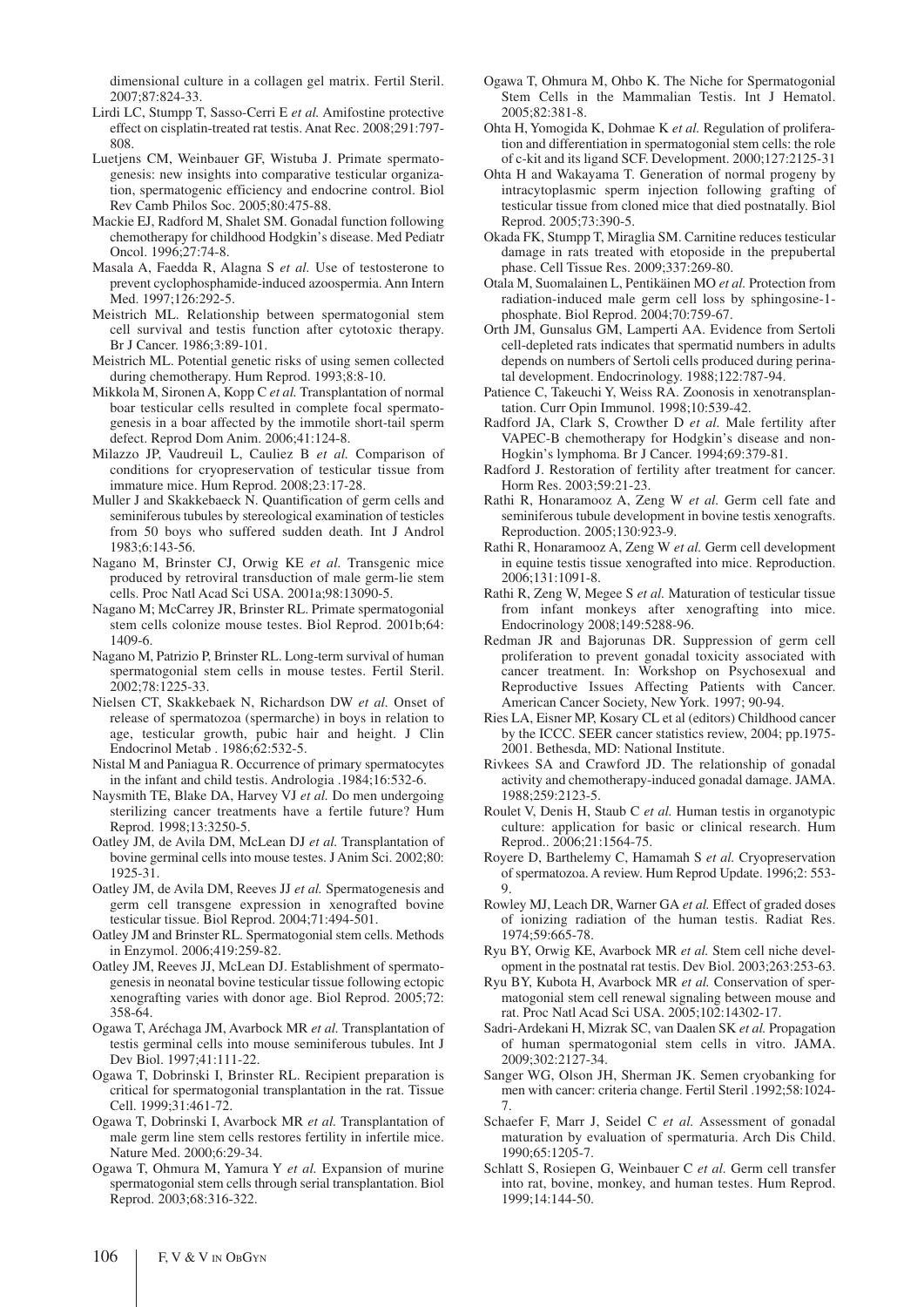dimensional culture in a collagen gel matrix. Fertil Steril. 2007;87:824-33.

- Lirdi LC, Stumpp T, Sasso-Cerri E *et al.* Amifostine protective effect on cisplatin-treated rat testis. Anat Rec. 2008;291:797- 808.
- Luetjens CM, Weinbauer GF, Wistuba J. Primate spermatogenesis: new insights into comparative testicular organization, spermatogenic efficiency and endocrine control. Biol Rev Camb Philos Soc. 2005;80:475-88.
- Mackie EJ, Radford M, Shalet SM. Gonadal function following chemotherapy for childhood Hodgkin's disease. Med Pediatr Oncol. 1996;27:74-8.
- Masala A, Faedda R, Alagna S *et al.* Use of testosterone to prevent cyclophosphamide-induced azoospermia. Ann Intern Med. 1997;126:292-5.
- Meistrich ML. Relationship between spermatogonial stem cell survival and testis function after cytotoxic therapy. Br J Cancer. 1986;3:89-101.
- Meistrich ML. Potential genetic risks of using semen collected during chemotherapy. Hum Reprod. 1993;8:8-10.
- Mikkola M, Sironen A, Kopp C *et al.* Transplantation of normal boar testicular cells resulted in complete focal spermatogenesis in a boar affected by the immotile short-tail sperm defect. Reprod Dom Anim. 2006;41:124-8.
- Milazzo JP, Vaudreuil L, Cauliez B *et al.* Comparison of conditions for cryopreservation of testicular tissue from immature mice. Hum Reprod. 2008;23:17-28.
- Muller J and Skakkebaeck N. Quantification of germ cells and seminiferous tubules by stereological examination of testicles from 50 boys who suffered sudden death. Int J Androl 1983;6:143-56.
- Nagano M, Brinster CJ, Orwig KE *et al.* Transgenic mice produced by retroviral transduction of male germ-lie stem cells. Proc Natl Acad Sci USA. 2001a;98:13090-5.
- Nagano M; McCarrey JR, Brinster RL. Primate spermatogonial stem cells colonize mouse testes. Biol Reprod. 2001b;64: 1409-6.
- Nagano M, Patrizio P, Brinster RL. Long-term survival of human spermatogonial stem cells in mouse testes. Fertil Steril. 2002;78:1225-33.
- Nielsen CT, Skakkebaek N, Richardson DW *et al.* Onset of release of spermatozoa (spermarche) in boys in relation to age, testicular growth, pubic hair and height. J Clin Endocrinol Metab . 1986;62:532-5.
- Nistal M and Paniagua R. Occurrence of primary spermatocytes in the infant and child testis. Andrologia .1984;16:532-6.
- Naysmith TE, Blake DA, Harvey VJ *et al.* Do men undergoing sterilizing cancer treatments have a fertile future? Hum Reprod. 1998;13:3250-5.
- Oatley JM, de Avila DM, McLean DJ *et al.* Transplantation of bovine germinal cells into mouse testes. J Anim Sci. 2002;80: 1925-31.
- Oatley JM, de Avila DM, Reeves JJ *et al.* Spermatogenesis and germ cell transgene expression in xenografted bovine testicular tissue. Biol Reprod. 2004;71:494-501.
- Oatley JM and Brinster RL. Spermatogonial stem cells. Methods in Enzymol. 2006;419:259-82.
- Oatley JM, Reeves JJ, McLean DJ. Establishment of spermatogenesis in neonatal bovine testicular tissue following ectopic xenografting varies with donor age. Biol Reprod. 2005;72: 358-64.
- Ogawa T, Aréchaga JM, Avarbock MR *et al.* Transplantation of testis germinal cells into mouse seminiferous tubules. Int J Dev Biol. 1997;41:111-22.
- Ogawa T, Dobrinski I, Brinster RL. Recipient preparation is critical for spermatogonial transplantation in the rat. Tissue Cell. 1999;31:461-72.
- Ogawa T, Dobrinski I, Avarbock MR *et al.* Transplantation of male germ line stem cells restores fertility in infertile mice. Nature Med. 2000;6:29-34.
- Ogawa T, Ohmura M, Yamura Y *et al.* Expansion of murine spermatogonial stem cells through serial transplantation. Biol Reprod. 2003;68:316-322.
- Ogawa T, Ohmura M, Ohbo K. The Niche for Spermatogonial Stem Cells in the Mammalian Testis. Int J Hematol. 2005;82:381-8.
- Ohta H, Yomogida K, Dohmae K *et al.* Regulation of proliferation and differentiation in spermatogonial stem cells: the role of c-kit and its ligand SCF. Development. 2000;127:2125-31
- Ohta H and Wakayama T. Generation of normal progeny by intracytoplasmic sperm injection following grafting of testicular tissue from cloned mice that died postnatally. Biol Reprod. 2005;73:390-5.
- Okada FK, Stumpp T, Miraglia SM. Carnitine reduces testicular damage in rats treated with etoposide in the prepubertal phase. Cell Tissue Res. 2009;337:269-80.
- Otala M, Suomalainen L, Pentikäinen MO *et al.* Protection from radiation-induced male germ cell loss by sphingosine-1 phosphate. Biol Reprod. 2004;70:759-67.
- Orth JM, Gunsalus GM, Lamperti AA. Evidence from Sertoli cell-depleted rats indicates that spermatid numbers in adults depends on numbers of Sertoli cells produced during perinatal development. Endocrinology. 1988;122:787-94.
- Patience C, Takeuchi Y, Weiss RA. Zoonosis in xenotransplantation. Curr Opin Immunol. 1998;10:539-42.
- Radford JA, Clark S, Crowther D *et al.* Male fertility after VAPEC-B chemotherapy for Hodgkin's disease and non-Hogkin's lymphoma. Br J Cancer. 1994;69:379-81.
- Radford J. Restoration of fertility after treatment for cancer. Horm Res. 2003;59:21-23.
- Rathi R, Honaramooz A, Zeng W *et al.* Germ cell fate and seminiferous tubule development in bovine testis xenografts. Reproduction. 2005;130:923-9.
- Rathi R, Honaramooz A, Zeng W *et al.* Germ cell development in equine testis tissue xenografted into mice. Reproduction. 2006;131:1091-8.
- Rathi R, Zeng W, Megee S *et al.* Maturation of testicular tissue from infant monkeys after xenografting into mice. Endocrinology 2008;149:5288-96.
- Redman JR and Bajorunas DR. Suppression of germ cell proliferation to prevent gonadal toxicity associated with cancer treatment. In: Workshop on Psychosexual and Reproductive Issues Affecting Patients with Cancer. American Cancer Society, New York. 1997; 90-94.
- Ries LA, Eisner MP, Kosary CL et al (editors) Childhood cancer by the ICCC. SEER cancer statistics review, 2004; pp.1975- 2001. Bethesda, MD: National Institute.
- Rivkees SA and Crawford JD. The relationship of gonadal activity and chemotherapy-induced gonadal damage. JAMA. 1988;259:2123-5.
- Roulet V, Denis H, Staub C *et al.* Human testis in organotypic culture: application for basic or clinical research. Hum Reprod.. 2006;21:1564-75.
- Royere D, Barthelemy C, Hamamah S *et al.* Cryopreservation of spermatozoa. A review. Hum Reprod Update. 1996;2: 553- 9.
- Rowley MJ, Leach DR, Warner GA *et al.* Effect of graded doses of ionizing radiation of the human testis. Radiat Res. 1974;59:665-78.
- Ryu BY, Orwig KE, Avarbock MR *et al.* Stem cell niche development in the postnatal rat testis. Dev Biol. 2003;263:253-63.
- Ryu BY, Kubota H, Avarbock MR *et al.* Conservation of spermatogonial stem cell renewal signaling between mouse and rat. Proc Natl Acad Sci USA. 2005;102:14302-17.
- Sadri-Ardekani H, Mizrak SC, van Daalen SK *et al.* Propagation of human spermatogonial stem cells in vitro. JAMA. 2009;302:2127-34.
- Sanger WG, Olson JH, Sherman JK. Semen cryobanking for men with cancer: criteria change. Fertil Steril .1992;58:1024- 7.
- Schaefer F, Marr J, Seidel C *et al.* Assessment of gonadal maturation by evaluation of spermaturia. Arch Dis Child. 1990;65:1205-7.
- Schlatt S, Rosiepen G, Weinbauer C *et al.* Germ cell transfer into rat, bovine, monkey, and human testes. Hum Reprod. 1999;14:144-50.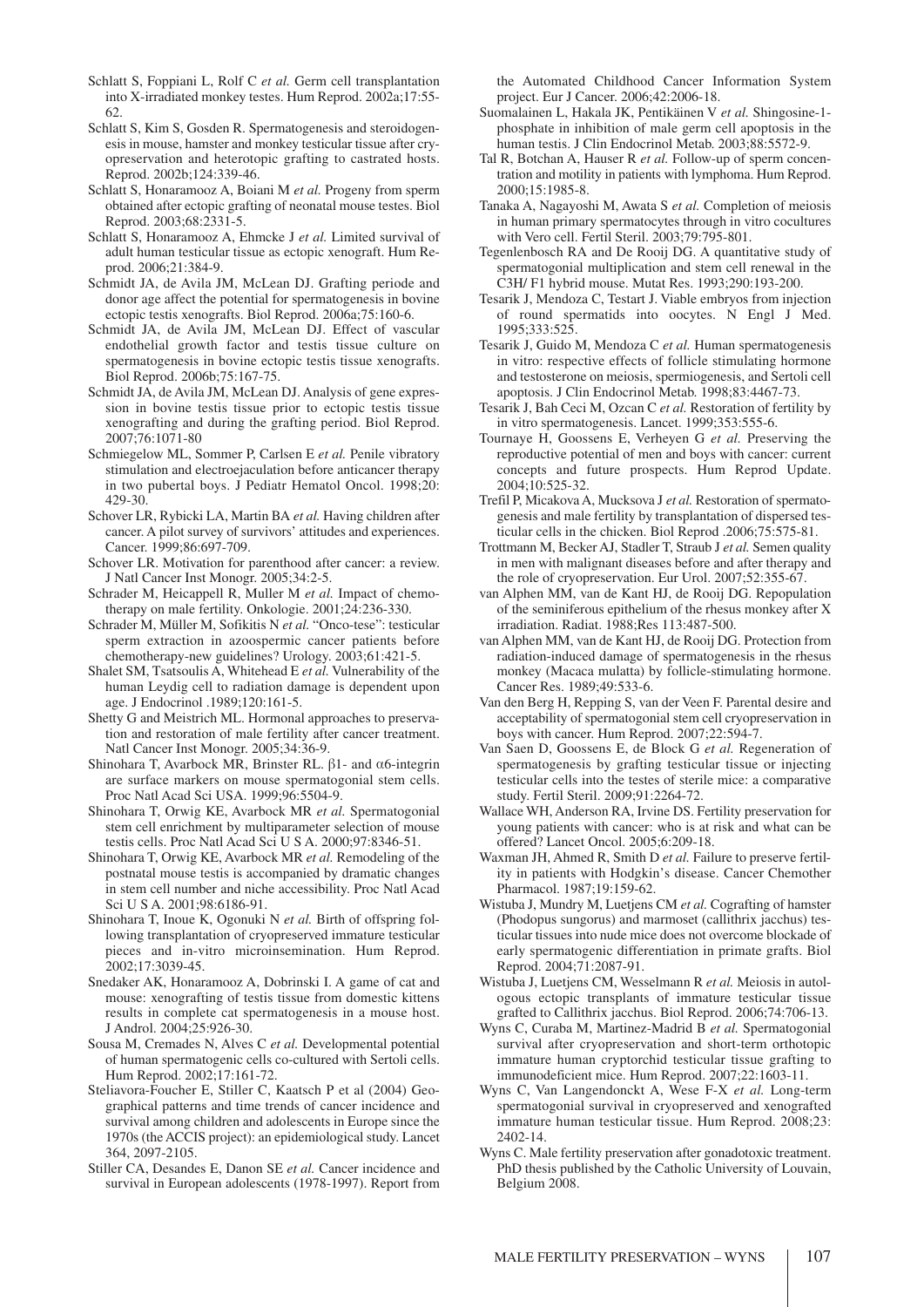- Schlatt S, Foppiani L, Rolf C *et al.* Germ cell transplantation into X-irradiated monkey testes. Hum Reprod. 2002a;17:55- 62.
- Schlatt S, Kim S, Gosden R. Spermatogenesis and steroidogenesis in mouse, hamster and monkey testicular tissue after cryopreservation and heterotopic grafting to castrated hosts. Reprod. 2002b;124:339-46.
- Schlatt S, Honaramooz A, Boiani M *et al.* Progeny from sperm obtained after ectopic grafting of neonatal mouse testes. Biol Reprod. 2003;68:2331-5.
- Schlatt S, Honaramooz A, Ehmcke J *et al.* Limited survival of adult human testicular tissue as ectopic xenograft. Hum Reprod. 2006;21:384-9.
- Schmidt JA, de Avila JM, McLean DJ. Grafting periode and donor age affect the potential for spermatogenesis in bovine ectopic testis xenografts. Biol Reprod. 2006a;75:160-6.
- Schmidt JA, de Avila JM, McLean DJ. Effect of vascular endothelial growth factor and testis tissue culture on spermatogenesis in bovine ectopic testis tissue xenografts. Biol Reprod. 2006b;75:167-75.
- Schmidt JA, de Avila JM, McLean DJ. Analysis of gene expression in bovine testis tissue prior to ectopic testis tissue xenografting and during the grafting period. Biol Reprod. 2007;76:1071-80
- Schmiegelow ML, Sommer P, Carlsen E *et al.* Penile vibratory stimulation and electroejaculation before anticancer therapy in two pubertal boys. J Pediatr Hematol Oncol. 1998;20: 429-30.
- Schover LR, Rybicki LA, Martin BA *et al.* Having children after cancer. A pilot survey of survivors' attitudes and experiences. Cancer. 1999;86:697-709.
- Schover LR. Motivation for parenthood after cancer: a review. J Natl Cancer Inst Monogr. 2005;34:2-5.
- Schrader M, Heicappell R, Muller M *et al.* Impact of chemotherapy on male fertility. Onkologie. 2001;24:236-330.
- Schrader M, Müller M, Sofikitis N *et al.* "Onco-tese": testicular sperm extraction in azoospermic cancer patients before chemotherapy-new guidelines? Urology. 2003;61:421-5.
- Shalet SM, Tsatsoulis A, Whitehead E *et al.* Vulnerability of the human Leydig cell to radiation damage is dependent upon age. J Endocrinol .1989;120:161-5.
- Shetty G and Meistrich ML. Hormonal approaches to preservation and restoration of male fertility after cancer treatment. Natl Cancer Inst Monogr. 2005;34:36-9.
- Shinohara T, Avarbock MR, Brinster RL.  $\beta$ 1- and  $\alpha$ 6-integrin are surface markers on mouse spermatogonial stem cells. Proc Natl Acad Sci USA. 1999;96:5504-9.
- Shinohara T, Orwig KE, Avarbock MR *et al.* Spermatogonial stem cell enrichment by multiparameter selection of mouse testis cells. Proc Natl Acad Sci U S A. 2000;97:8346-51.
- Shinohara T, Orwig KE, Avarbock MR *et al.* Remodeling of the postnatal mouse testis is accompanied by dramatic changes in stem cell number and niche accessibility. Proc Natl Acad Sci U S A. 2001;98:6186-91.
- Shinohara T, Inoue K, Ogonuki N *et al.* Birth of offspring following transplantation of cryopreserved immature testicular pieces and in-vitro microinsemination. Hum Reprod. 2002;17:3039-45.
- Snedaker AK, Honaramooz A, Dobrinski I. A game of cat and mouse: xenografting of testis tissue from domestic kittens results in complete cat spermatogenesis in a mouse host. J Androl. 2004;25:926-30.
- Sousa M, Cremades N, Alves C *et al.* Developmental potential of human spermatogenic cells co-cultured with Sertoli cells. Hum Reprod. 2002;17:161-72.
- Steliavora-Foucher E, Stiller C, Kaatsch P et al (2004) Geographical patterns and time trends of cancer incidence and survival among children and adolescents in Europe since the 1970s (the ACCIS project): an epidemiological study. Lancet 364, 2097-2105.
- Stiller CA, Desandes E, Danon SE *et al.* Cancer incidence and survival in European adolescents (1978-1997). Report from

the Automated Childhood Cancer Information System project. Eur J Cancer. 2006;42:2006-18.

- Suomalainen L, Hakala JK, Pentikäinen V *et al.* Shingosine-1 phosphate in inhibition of male germ cell apoptosis in the human testis. J Clin Endocrinol Metab. 2003;88:5572-9.
- Tal R, Botchan A, Hauser R *et al.* Follow-up of sperm concentration and motility in patients with lymphoma. Hum Reprod. 2000;15:1985-8.
- Tanaka A, Nagayoshi M, Awata S *et al.* Completion of meiosis in human primary spermatocytes through in vitro cocultures with Vero cell. Fertil Steril. 2003;79:795-801.
- Tegenlenbosch RA and De Rooij DG. A quantitative study of spermatogonial multiplication and stem cell renewal in the C3H/ F1 hybrid mouse. Mutat Res. 1993;290:193-200.
- Tesarik J, Mendoza C, Testart J. Viable embryos from injection of round spermatids into oocytes. N Engl J Med. 1995;333:525.
- Tesarik J, Guido M, Mendoza C *et al.* Human spermatogenesis in vitro: respective effects of follicle stimulating hormone and testosterone on meiosis, spermiogenesis, and Sertoli cell apoptosis. J Clin Endocrinol Metab. 1998;83:4467-73.
- Tesarik J, Bah Ceci M, Ozcan C *et al.* Restoration of fertility by in vitro spermatogenesis. Lancet. 1999;353:555-6.
- Tournaye H, Goossens E, Verheyen G *et al.* Preserving the reproductive potential of men and boys with cancer: current concepts and future prospects. Hum Reprod Update. 2004;10:525-32.
- Trefil P, Micakova A, Mucksova J *et al.* Restoration of spermatogenesis and male fertility by transplantation of dispersed testicular cells in the chicken. Biol Reprod .2006;75:575-81.
- Trottmann M, Becker AJ, Stadler T, Straub J *et al.* Semen quality in men with malignant diseases before and after therapy and the role of cryopreservation. Eur Urol. 2007;52:355-67.
- van Alphen MM, van de Kant HJ, de Rooij DG. Repopulation of the seminiferous epithelium of the rhesus monkey after X irradiation. Radiat. 1988;Res 113:487-500.
- van Alphen MM, van de Kant HJ, de Rooij DG. Protection from radiation-induced damage of spermatogenesis in the rhesus monkey (Macaca mulatta) by follicle-stimulating hormone. Cancer Res. 1989;49:533-6.
- Van den Berg H, Repping S, van der Veen F. Parental desire and acceptability of spermatogonial stem cell cryopreservation in boys with cancer. Hum Reprod. 2007;22:594-7.
- Van Saen D, Goossens E, de Block G *et al.* Regeneration of spermatogenesis by grafting testicular tissue or injecting testicular cells into the testes of sterile mice: a comparative study. Fertil Steril. 2009;91:2264-72.
- Wallace WH, Anderson RA, Irvine DS. Fertility preservation for young patients with cancer: who is at risk and what can be offered? Lancet Oncol. 2005;6:209-18.
- Waxman JH, Ahmed R, Smith D *et al.* Failure to preserve fertility in patients with Hodgkin's disease. Cancer Chemother Pharmacol. 1987;19:159-62.
- Wistuba J, Mundry M, Luetjens CM *et al.* Cografting of hamster (Phodopus sungorus) and marmoset (callithrix jacchus) testicular tissues into nude mice does not overcome blockade of early spermatogenic differentiation in primate grafts. Biol Reprod. 2004;71:2087-91.
- Wistuba J, Luetjens CM, Wesselmann R *et al.* Meiosis in autologous ectopic transplants of immature testicular tissue grafted to Callithrix jacchus. Biol Reprod. 2006;74:706-13.
- Wyns C, Curaba M, Martinez-Madrid B *et al.* Spermatogonial survival after cryopreservation and short-term orthotopic immature human cryptorchid testicular tissue grafting to immunodeficient mice. Hum Reprod. 2007;22:1603-11.
- Wyns C, Van Langendonckt A, Wese F-X *et al.* Long-term spermatogonial survival in cryopreserved and xenografted immature human testicular tissue. Hum Reprod. 2008;23: 2402-14.
- Wyns C. Male fertility preservation after gonadotoxic treatment. PhD thesis published by the Catholic University of Louvain, Belgium 2008.